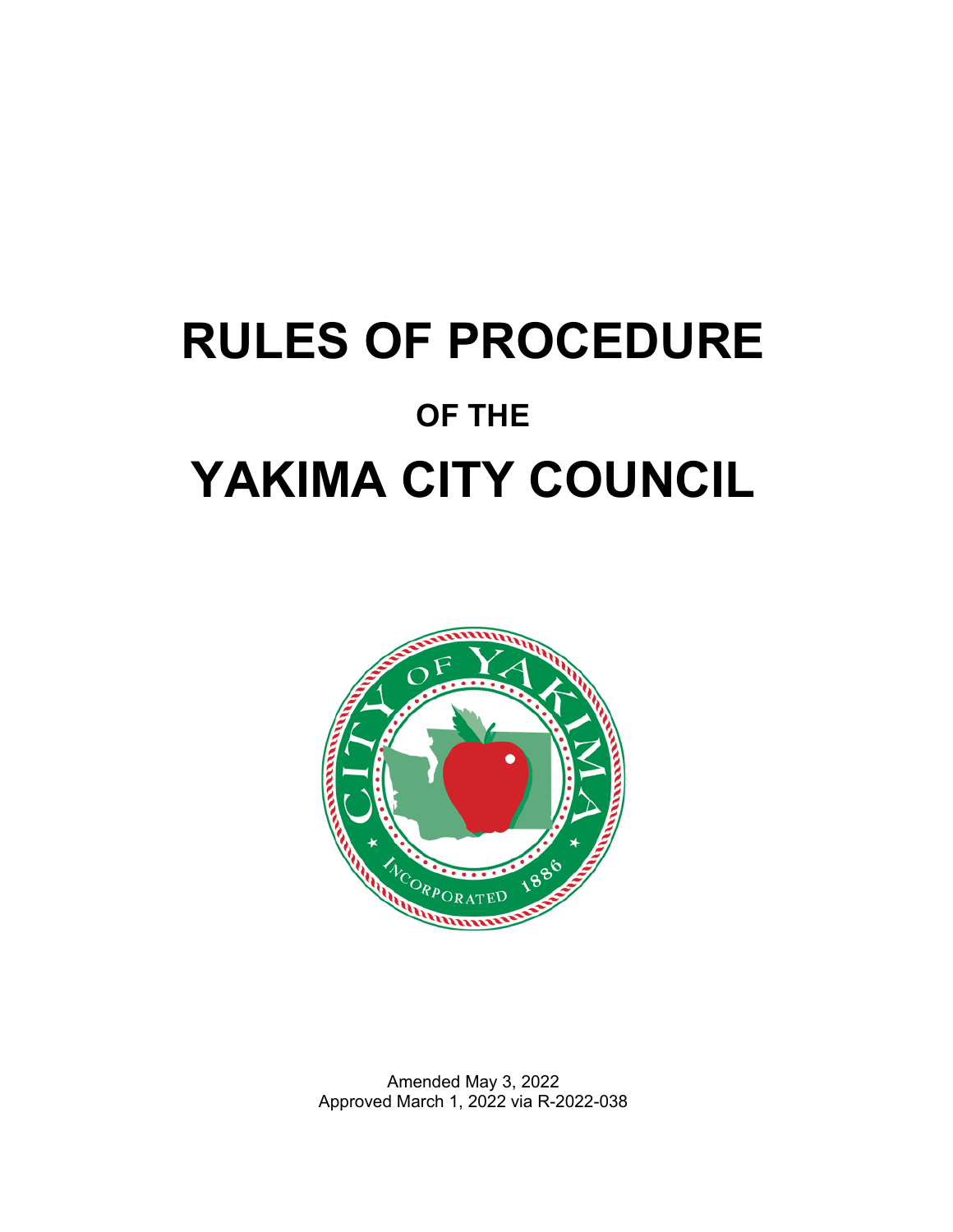# **RULES OF PROCEDURE OF THE YAKIMA CITY COUNCIL**



Amended May 3, 2022 Approved March 1, 2022 via R-2022-038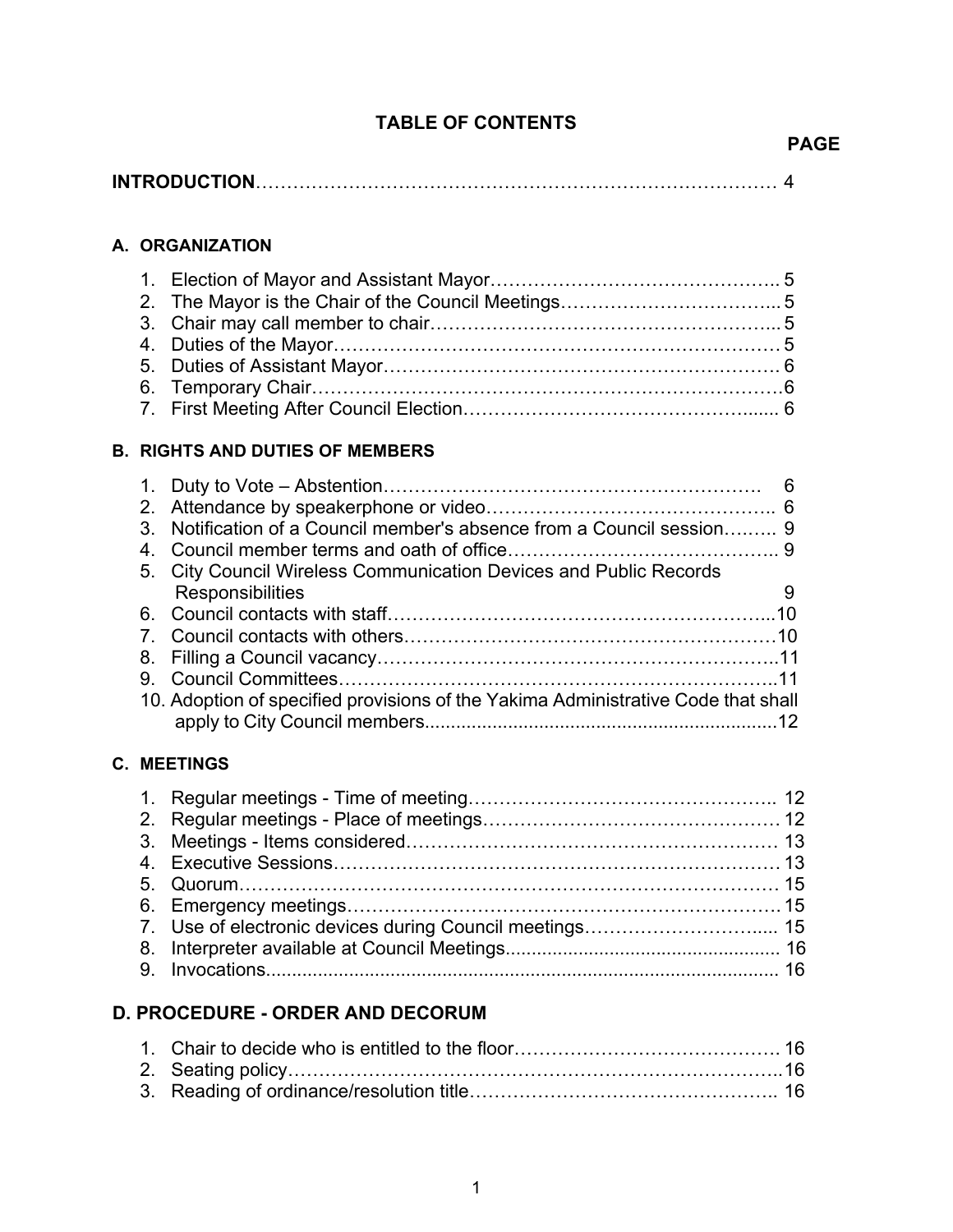# **TABLE OF CONTENTS**

## **A. ORGANIZATION**

## **B. RIGHTS AND DUTIES OF MEMBERS**

|   | 3. Notification of a Council member's absence from a Council session 9            |  |
|---|-----------------------------------------------------------------------------------|--|
|   |                                                                                   |  |
|   | 5. City Council Wireless Communication Devices and Public Records                 |  |
|   | Responsibilities                                                                  |  |
|   |                                                                                   |  |
|   |                                                                                   |  |
|   |                                                                                   |  |
| 9 |                                                                                   |  |
|   | 10. Adoption of specified provisions of the Yakima Administrative Code that shall |  |
|   |                                                                                   |  |

# **C. MEETINGS**

| 7. Use of electronic devices during Council meetings 15 |  |
|---------------------------------------------------------|--|
|                                                         |  |
|                                                         |  |
|                                                         |  |

# **D. PROCEDURE - ORDER AND DECORUM**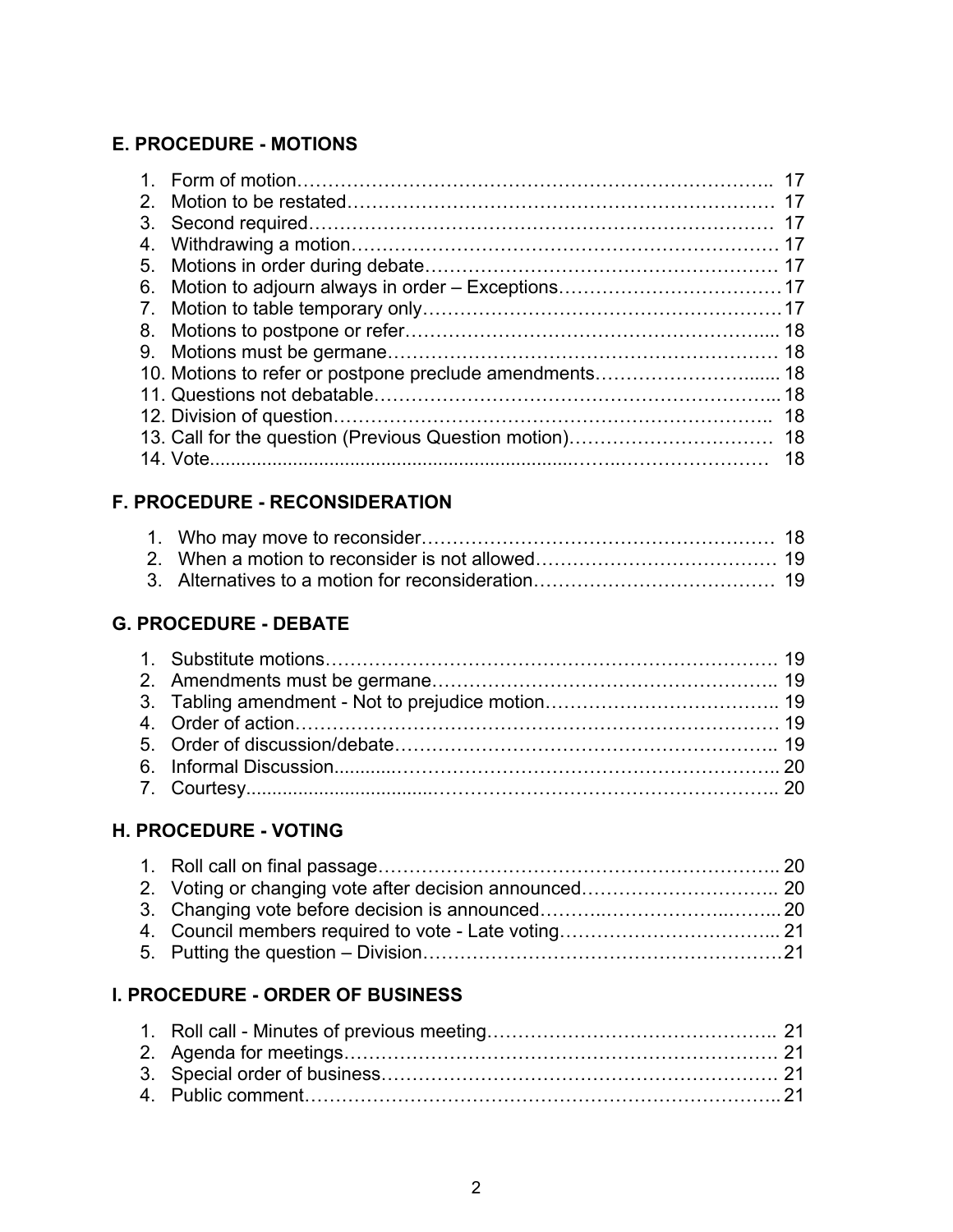# **E. PROCEDURE - MOTIONS**

|    |          | -17 |
|----|----------|-----|
|    |          |     |
| 6. |          |     |
|    |          |     |
|    |          |     |
|    |          |     |
|    |          |     |
|    |          |     |
|    |          |     |
|    |          |     |
|    | 14. Vote | -18 |
|    |          |     |

# **F. PROCEDURE - RECONSIDERATION**

# **G. PROCEDURE - DEBATE**

# **H. PROCEDURE - VOTING**

# **I. PROCEDURE - ORDER OF BUSINESS**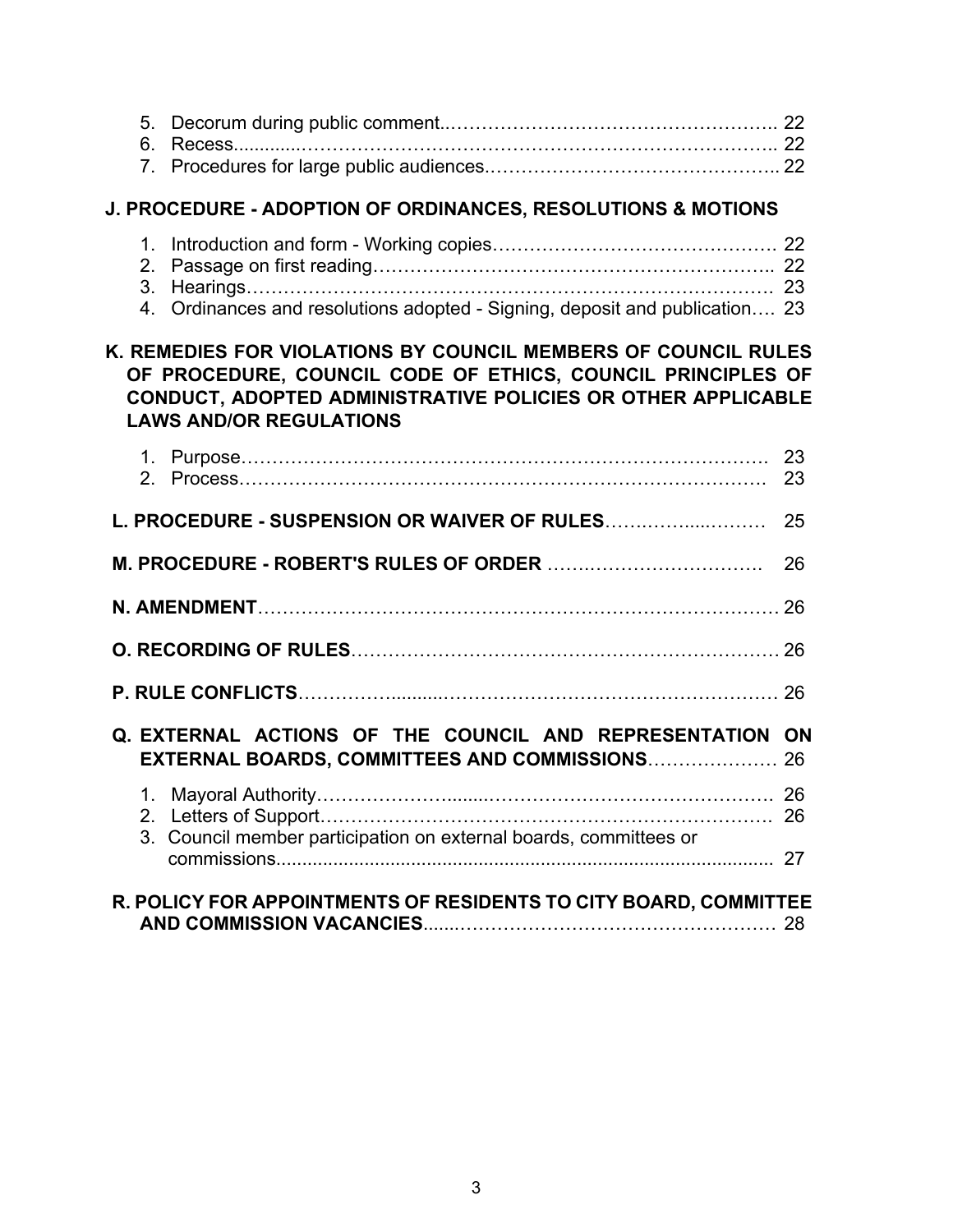# **J. PROCEDURE - ADOPTION OF ORDINANCES, RESOLUTIONS & MOTIONS**

| 4. Ordinances and resolutions adopted - Signing, deposit and publication 23 |  |
|-----------------------------------------------------------------------------|--|

# **K. REMEDIES FOR VIOLATIONS BY COUNCIL MEMBERS OF COUNCIL RULES OF PROCEDURE, COUNCIL CODE OF ETHICS, COUNCIL PRINCIPLES OF CONDUCT, ADOPTED ADMINISTRATIVE POLICIES OR OTHER APPLICABLE LAWS AND/OR REGULATIONS**

|                                                                  |  |                                                                                                                   | 26 |
|------------------------------------------------------------------|--|-------------------------------------------------------------------------------------------------------------------|----|
|                                                                  |  |                                                                                                                   |    |
|                                                                  |  |                                                                                                                   |    |
|                                                                  |  |                                                                                                                   |    |
|                                                                  |  | Q. EXTERNAL ACTIONS OF THE COUNCIL AND REPRESENTATION ON<br><b>EXTERNAL BOARDS, COMMITTEES AND COMMISSIONS 26</b> |    |
|                                                                  |  | 3. Council member participation on external boards, committees or                                                 |    |
|                                                                  |  |                                                                                                                   |    |
| R. POLICY FOR APPOINTMENTS OF RESIDENTS TO CITY BOARD, COMMITTEE |  |                                                                                                                   |    |
|                                                                  |  |                                                                                                                   |    |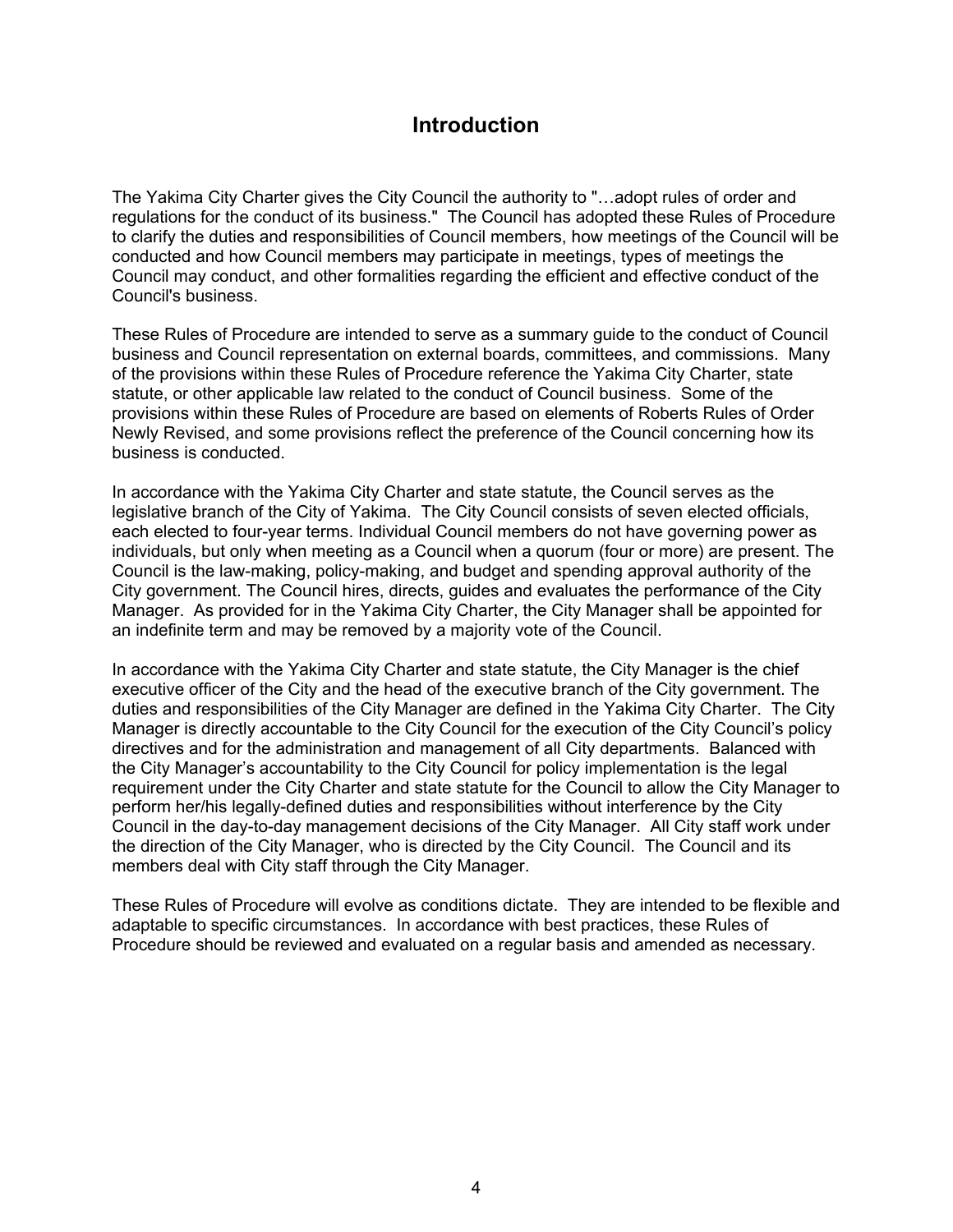# **Introduction**

The Yakima City Charter gives the City Council the authority to "…adopt rules of order and regulations for the conduct of its business." The Council has adopted these Rules of Procedure to clarify the duties and responsibilities of Council members, how meetings of the Council will be conducted and how Council members may participate in meetings, types of meetings the Council may conduct, and other formalities regarding the efficient and effective conduct of the Council's business.

These Rules of Procedure are intended to serve as a summary guide to the conduct of Council business and Council representation on external boards, committees, and commissions. Many of the provisions within these Rules of Procedure reference the Yakima City Charter, state statute, or other applicable law related to the conduct of Council business. Some of the provisions within these Rules of Procedure are based on elements of Roberts Rules of Order Newly Revised, and some provisions reflect the preference of the Council concerning how its business is conducted.

In accordance with the Yakima City Charter and state statute, the Council serves as the legislative branch of the City of Yakima. The City Council consists of seven elected officials, each elected to four-year terms. Individual Council members do not have governing power as individuals, but only when meeting as a Council when a quorum (four or more) are present. The Council is the law-making, policy-making, and budget and spending approval authority of the City government. The Council hires, directs, guides and evaluates the performance of the City Manager. As provided for in the Yakima City Charter, the City Manager shall be appointed for an indefinite term and may be removed by a majority vote of the Council.

In accordance with the Yakima City Charter and state statute, the City Manager is the chief executive officer of the City and the head of the executive branch of the City government. The duties and responsibilities of the City Manager are defined in the Yakima City Charter. The City Manager is directly accountable to the City Council for the execution of the City Council's policy directives and for the administration and management of all City departments. Balanced with the City Manager's accountability to the City Council for policy implementation is the legal requirement under the City Charter and state statute for the Council to allow the City Manager to perform her/his legally-defined duties and responsibilities without interference by the City Council in the day-to-day management decisions of the City Manager. All City staff work under the direction of the City Manager, who is directed by the City Council. The Council and its members deal with City staff through the City Manager.

These Rules of Procedure will evolve as conditions dictate. They are intended to be flexible and adaptable to specific circumstances. In accordance with best practices, these Rules of Procedure should be reviewed and evaluated on a regular basis and amended as necessary.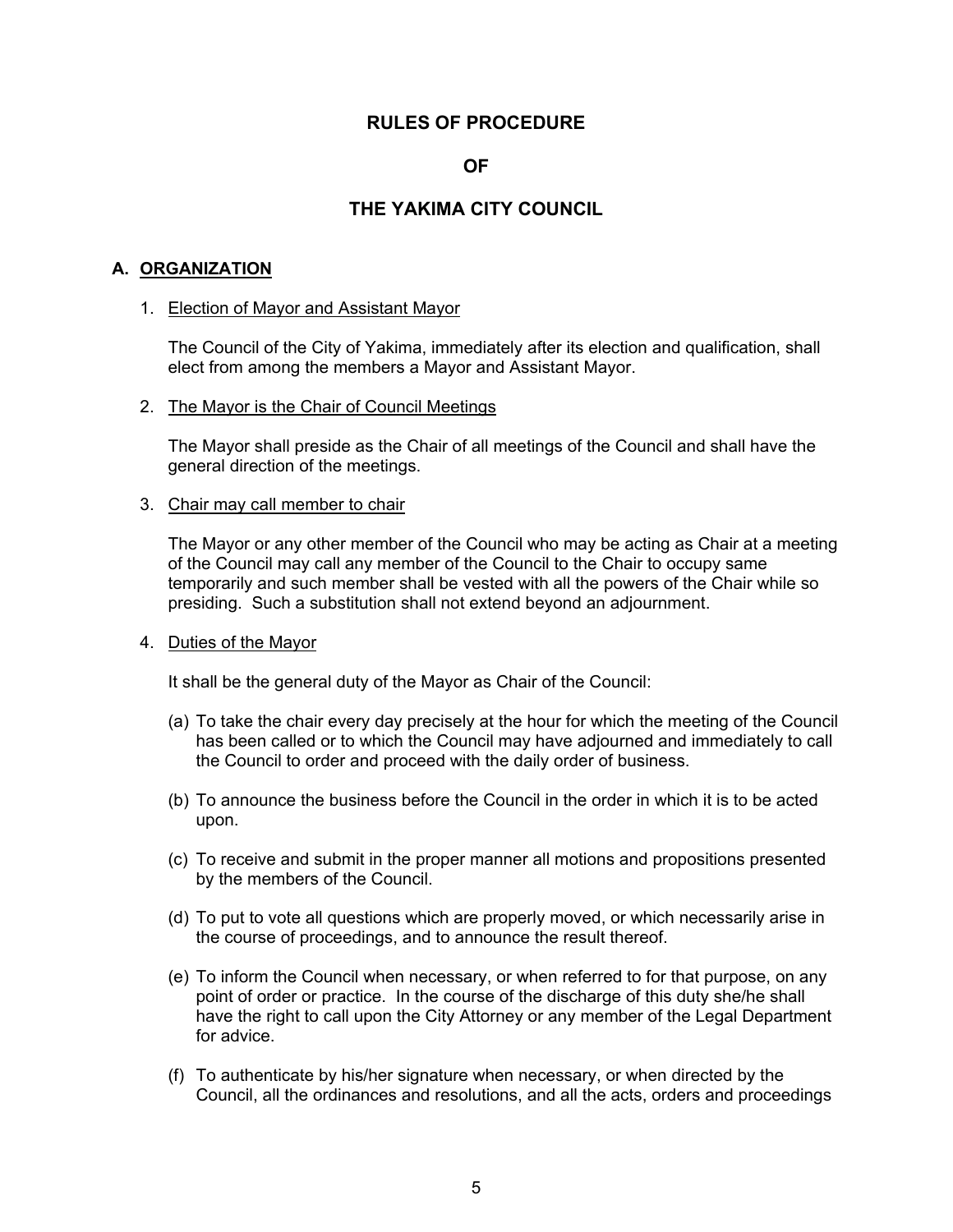## **RULES OF PROCEDURE**

## **OF**

## **THE YAKIMA CITY COUNCIL**

## **A. ORGANIZATION**

#### 1. Election of Mayor and Assistant Mayor

The Council of the City of Yakima, immediately after its election and qualification, shall elect from among the members a Mayor and Assistant Mayor.

#### 2. The Mayor is the Chair of Council Meetings

 The Mayor shall preside as the Chair of all meetings of the Council and shall have the general direction of the meetings.

#### 3. Chair may call member to chair

 The Mayor or any other member of the Council who may be acting as Chair at a meeting of the Council may call any member of the Council to the Chair to occupy same temporarily and such member shall be vested with all the powers of the Chair while so presiding. Such a substitution shall not extend beyond an adjournment.

#### 4. Duties of the Mayor

It shall be the general duty of the Mayor as Chair of the Council:

- (a) To take the chair every day precisely at the hour for which the meeting of the Council has been called or to which the Council may have adjourned and immediately to call the Council to order and proceed with the daily order of business.
- (b) To announce the business before the Council in the order in which it is to be acted upon.
- (c) To receive and submit in the proper manner all motions and propositions presented by the members of the Council.
- (d) To put to vote all questions which are properly moved, or which necessarily arise in the course of proceedings, and to announce the result thereof.
- (e) To inform the Council when necessary, or when referred to for that purpose, on any point of order or practice. In the course of the discharge of this duty she/he shall have the right to call upon the City Attorney or any member of the Legal Department for advice.
- (f) To authenticate by his/her signature when necessary, or when directed by the Council, all the ordinances and resolutions, and all the acts, orders and proceedings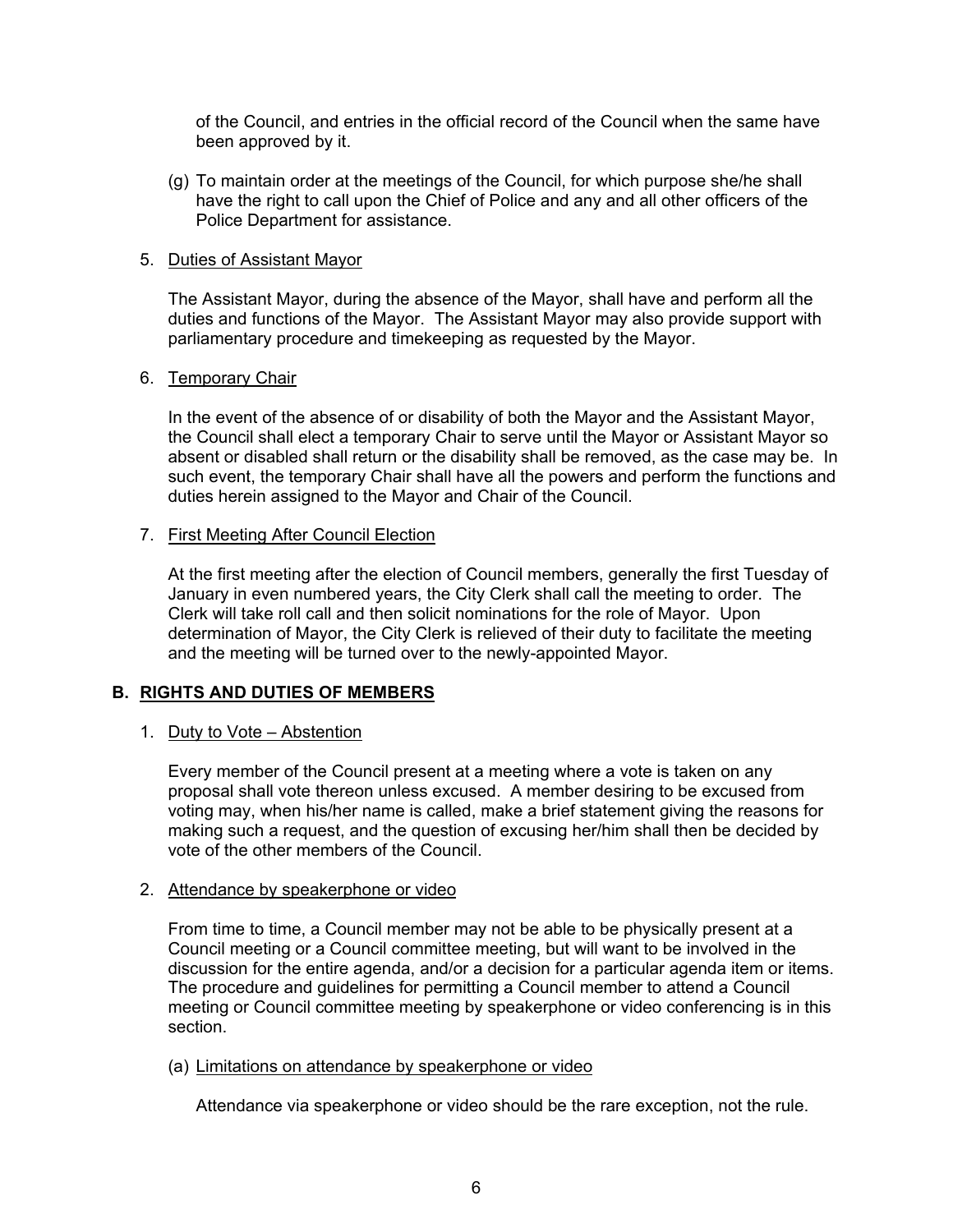of the Council, and entries in the official record of the Council when the same have been approved by it.

(g) To maintain order at the meetings of the Council, for which purpose she/he shall have the right to call upon the Chief of Police and any and all other officers of the Police Department for assistance.

## 5. Duties of Assistant Mayor

 The Assistant Mayor, during the absence of the Mayor, shall have and perform all the duties and functions of the Mayor. The Assistant Mayor may also provide support with parliamentary procedure and timekeeping as requested by the Mayor.

## 6. Temporary Chair

 In the event of the absence of or disability of both the Mayor and the Assistant Mayor, the Council shall elect a temporary Chair to serve until the Mayor or Assistant Mayor so absent or disabled shall return or the disability shall be removed, as the case may be. In such event, the temporary Chair shall have all the powers and perform the functions and duties herein assigned to the Mayor and Chair of the Council.

## 7. First Meeting After Council Election

 At the first meeting after the election of Council members, generally the first Tuesday of January in even numbered years, the City Clerk shall call the meeting to order. The Clerk will take roll call and then solicit nominations for the role of Mayor. Upon determination of Mayor, the City Clerk is relieved of their duty to facilitate the meeting and the meeting will be turned over to the newly-appointed Mayor.

## **B. RIGHTS AND DUTIES OF MEMBERS**

## 1. Duty to Vote – Abstention

Every member of the Council present at a meeting where a vote is taken on any proposal shall vote thereon unless excused. A member desiring to be excused from voting may, when his/her name is called, make a brief statement giving the reasons for making such a request, and the question of excusing her/him shall then be decided by vote of the other members of the Council.

## 2. Attendance by speakerphone or video

 From time to time, a Council member may not be able to be physically present at a Council meeting or a Council committee meeting, but will want to be involved in the discussion for the entire agenda, and/or a decision for a particular agenda item or items. The procedure and guidelines for permitting a Council member to attend a Council meeting or Council committee meeting by speakerphone or video conferencing is in this section.

#### (a) Limitations on attendance by speakerphone or video

Attendance via speakerphone or video should be the rare exception, not the rule.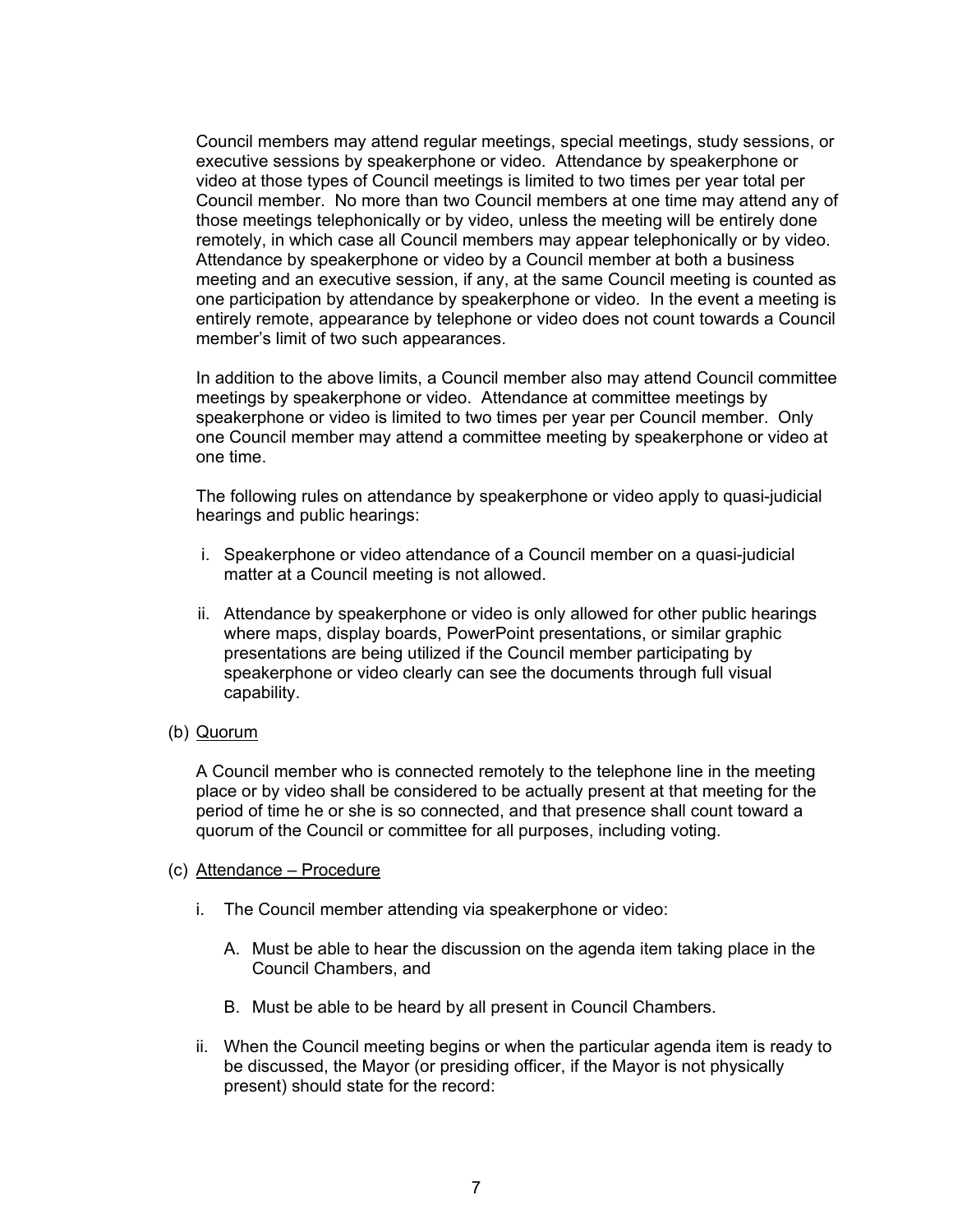Council members may attend regular meetings, special meetings, study sessions, or executive sessions by speakerphone or video. Attendance by speakerphone or video at those types of Council meetings is limited to two times per year total per Council member. No more than two Council members at one time may attend any of those meetings telephonically or by video, unless the meeting will be entirely done remotely, in which case all Council members may appear telephonically or by video. Attendance by speakerphone or video by a Council member at both a business meeting and an executive session, if any, at the same Council meeting is counted as one participation by attendance by speakerphone or video. In the event a meeting is entirely remote, appearance by telephone or video does not count towards a Council member's limit of two such appearances.

In addition to the above limits, a Council member also may attend Council committee meetings by speakerphone or video. Attendance at committee meetings by speakerphone or video is limited to two times per year per Council member. Only one Council member may attend a committee meeting by speakerphone or video at one time.

The following rules on attendance by speakerphone or video apply to quasi-judicial hearings and public hearings:

- i. Speakerphone or video attendance of a Council member on a quasi-judicial matter at a Council meeting is not allowed.
- ii. Attendance by speakerphone or video is only allowed for other public hearings where maps, display boards, PowerPoint presentations, or similar graphic presentations are being utilized if the Council member participating by speakerphone or video clearly can see the documents through full visual capability.
- (b) Quorum

A Council member who is connected remotely to the telephone line in the meeting place or by video shall be considered to be actually present at that meeting for the period of time he or she is so connected, and that presence shall count toward a quorum of the Council or committee for all purposes, including voting.

#### (c) Attendance – Procedure

- i. The Council member attending via speakerphone or video:
	- A. Must be able to hear the discussion on the agenda item taking place in the Council Chambers, and
	- B. Must be able to be heard by all present in Council Chambers.
- ii. When the Council meeting begins or when the particular agenda item is ready to be discussed, the Mayor (or presiding officer, if the Mayor is not physically present) should state for the record: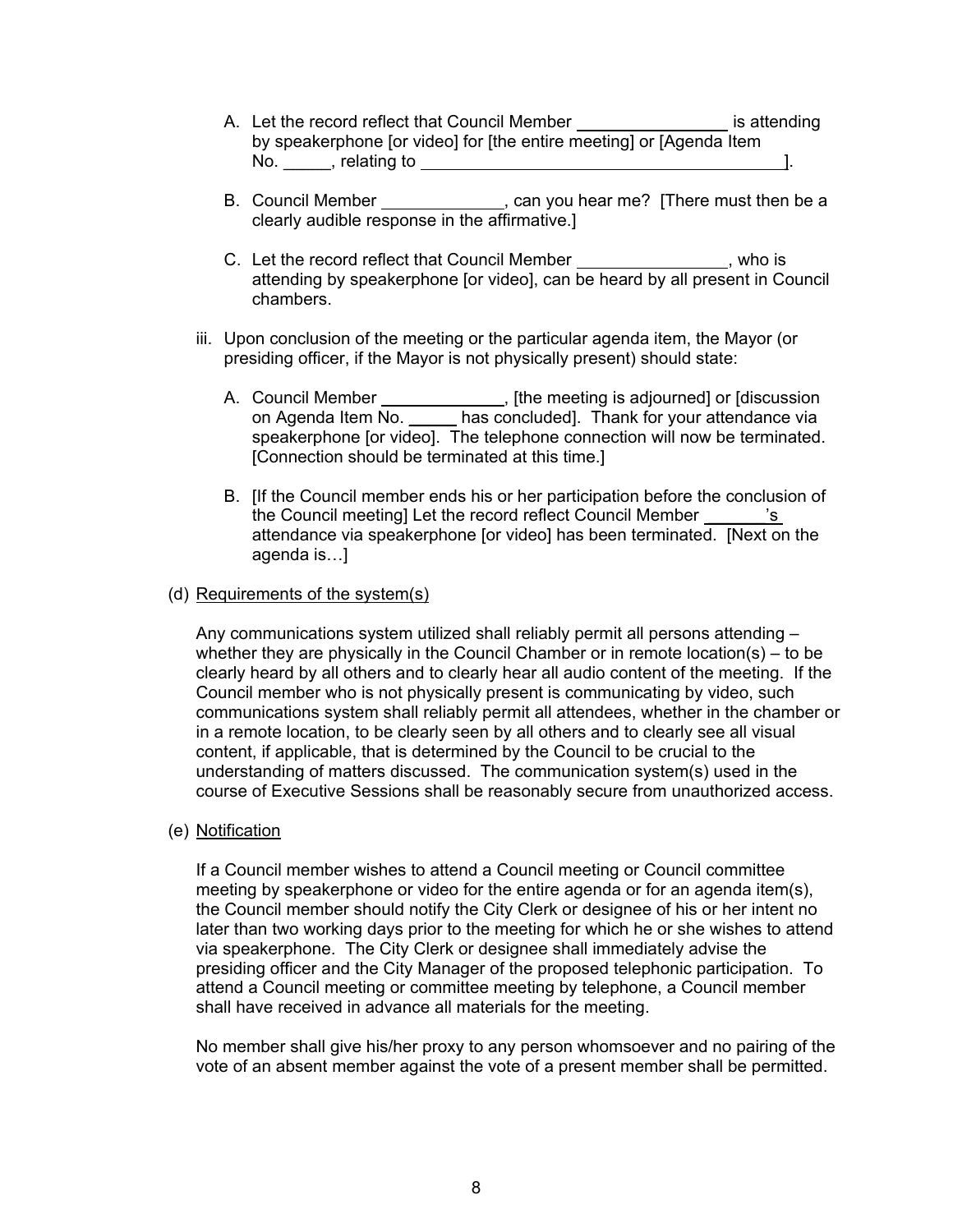- A. Let the record reflect that Council Member **inter the contract of the set of the contract** is attending by speakerphone [or video] for [the entire meeting] or [Agenda Item No.  $\qquad \qquad$ , relating to  $\qquad \qquad$
- B. Council Member \_\_\_\_\_\_\_\_\_\_\_\_, can you hear me? [There must then be a clearly audible response in the affirmative.]
- C. Let the record reflect that Council Member , who is attending by speakerphone [or video], can be heard by all present in Council chambers.
- iii. Upon conclusion of the meeting or the particular agenda item, the Mayor (or presiding officer, if the Mayor is not physically present) should state:
	- A. Council Member **contain the meeting is adjourned** or [discussion on Agenda Item No. \_\_\_\_\_ has concluded]. Thank for your attendance via speakerphone [or video]. The telephone connection will now be terminated. [Connection should be terminated at this time.]
	- B. [If the Council member ends his or her participation before the conclusion of the Council meeting] Let the record reflect Council Member \_\_\_\_\_\_'s attendance via speakerphone [or video] has been terminated. [Next on the agenda is…]

## (d) Requirements of the system(s)

Any communications system utilized shall reliably permit all persons attending – whether they are physically in the Council Chamber or in remote location(s) – to be clearly heard by all others and to clearly hear all audio content of the meeting. If the Council member who is not physically present is communicating by video, such communications system shall reliably permit all attendees, whether in the chamber or in a remote location, to be clearly seen by all others and to clearly see all visual content, if applicable, that is determined by the Council to be crucial to the understanding of matters discussed. The communication system(s) used in the course of Executive Sessions shall be reasonably secure from unauthorized access.

(e) Notification

If a Council member wishes to attend a Council meeting or Council committee meeting by speakerphone or video for the entire agenda or for an agenda item(s), the Council member should notify the City Clerk or designee of his or her intent no later than two working days prior to the meeting for which he or she wishes to attend via speakerphone. The City Clerk or designee shall immediately advise the presiding officer and the City Manager of the proposed telephonic participation. To attend a Council meeting or committee meeting by telephone, a Council member shall have received in advance all materials for the meeting.

 No member shall give his/her proxy to any person whomsoever and no pairing of the vote of an absent member against the vote of a present member shall be permitted.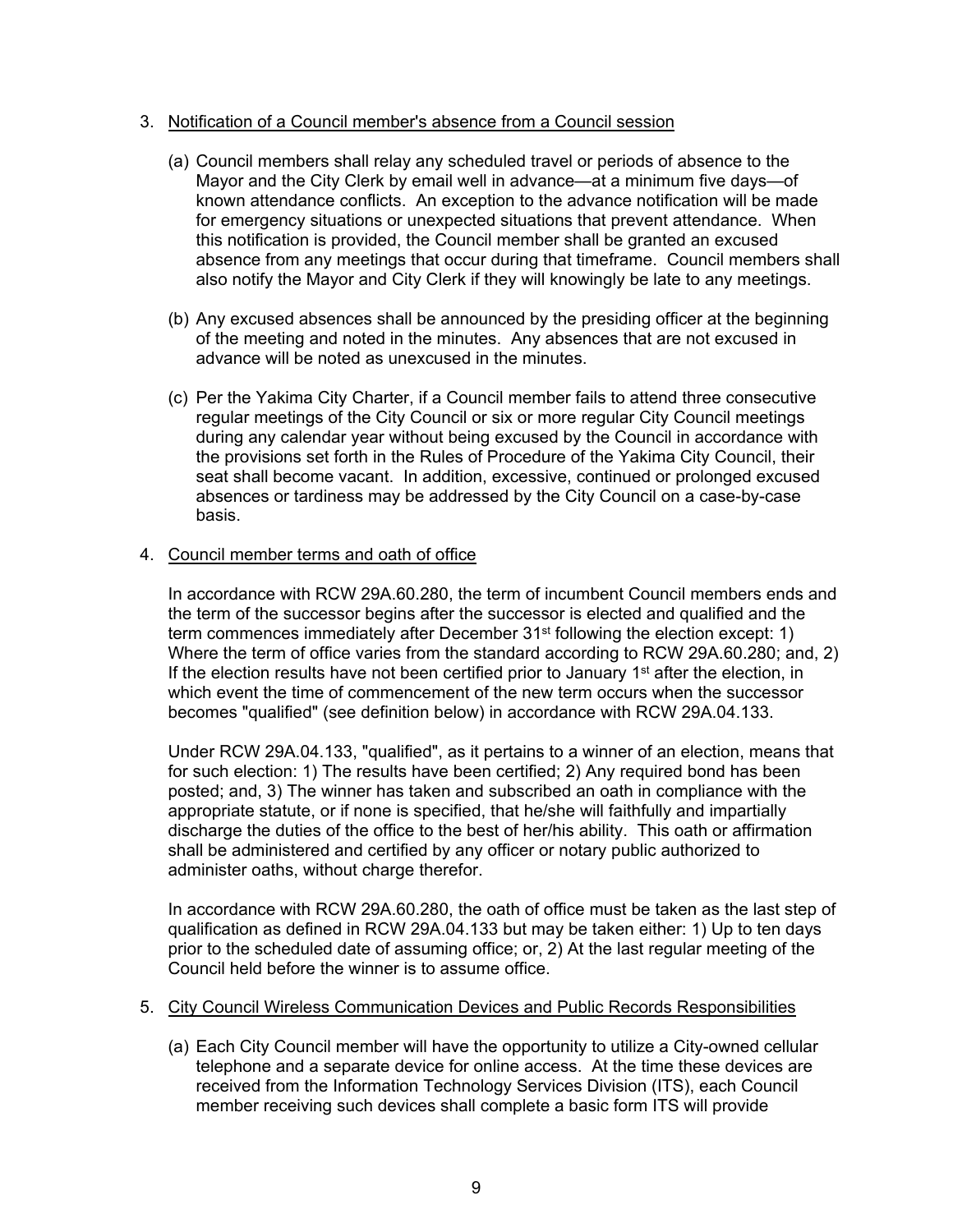#### 3. Notification of a Council member's absence from a Council session

- (a) Council members shall relay any scheduled travel or periods of absence to the Mayor and the City Clerk by email well in advance—at a minimum five days—of known attendance conflicts. An exception to the advance notification will be made for emergency situations or unexpected situations that prevent attendance. When this notification is provided, the Council member shall be granted an excused absence from any meetings that occur during that timeframe. Council members shall also notify the Mayor and City Clerk if they will knowingly be late to any meetings.
- (b) Any excused absences shall be announced by the presiding officer at the beginning of the meeting and noted in the minutes. Any absences that are not excused in advance will be noted as unexcused in the minutes.
- (c) Per the Yakima City Charter, if a Council member fails to attend three consecutive regular meetings of the City Council or six or more regular City Council meetings during any calendar year without being excused by the Council in accordance with the provisions set forth in the Rules of Procedure of the Yakima City Council, their seat shall become vacant. In addition, excessive, continued or prolonged excused absences or tardiness may be addressed by the City Council on a case-by-case basis.

## 4. Council member terms and oath of office

 In accordance with RCW 29A.60.280, the term of incumbent Council members ends and the term of the successor begins after the successor is elected and qualified and the term commences immediately after December 31<sup>st</sup> following the election except: 1) Where the term of office varies from the standard according to RCW 29A.60.280; and, 2) If the election results have not been certified prior to January 1<sup>st</sup> after the election, in which event the time of commencement of the new term occurs when the successor becomes "qualified" (see definition below) in accordance with RCW 29A.04.133.

 Under RCW 29A.04.133, "qualified", as it pertains to a winner of an election, means that for such election: 1) The results have been certified; 2) Any required bond has been posted; and, 3) The winner has taken and subscribed an oath in compliance with the appropriate statute, or if none is specified, that he/she will faithfully and impartially discharge the duties of the office to the best of her/his ability. This oath or affirmation shall be administered and certified by any officer or notary public authorized to administer oaths, without charge therefor.

 In accordance with RCW 29A.60.280, the oath of office must be taken as the last step of qualification as defined in RCW 29A.04.133 but may be taken either: 1) Up to ten days prior to the scheduled date of assuming office; or, 2) At the last regular meeting of the Council held before the winner is to assume office.

#### 5. City Council Wireless Communication Devices and Public Records Responsibilities

(a) Each City Council member will have the opportunity to utilize a City-owned cellular telephone and a separate device for online access. At the time these devices are received from the Information Technology Services Division (ITS), each Council member receiving such devices shall complete a basic form ITS will provide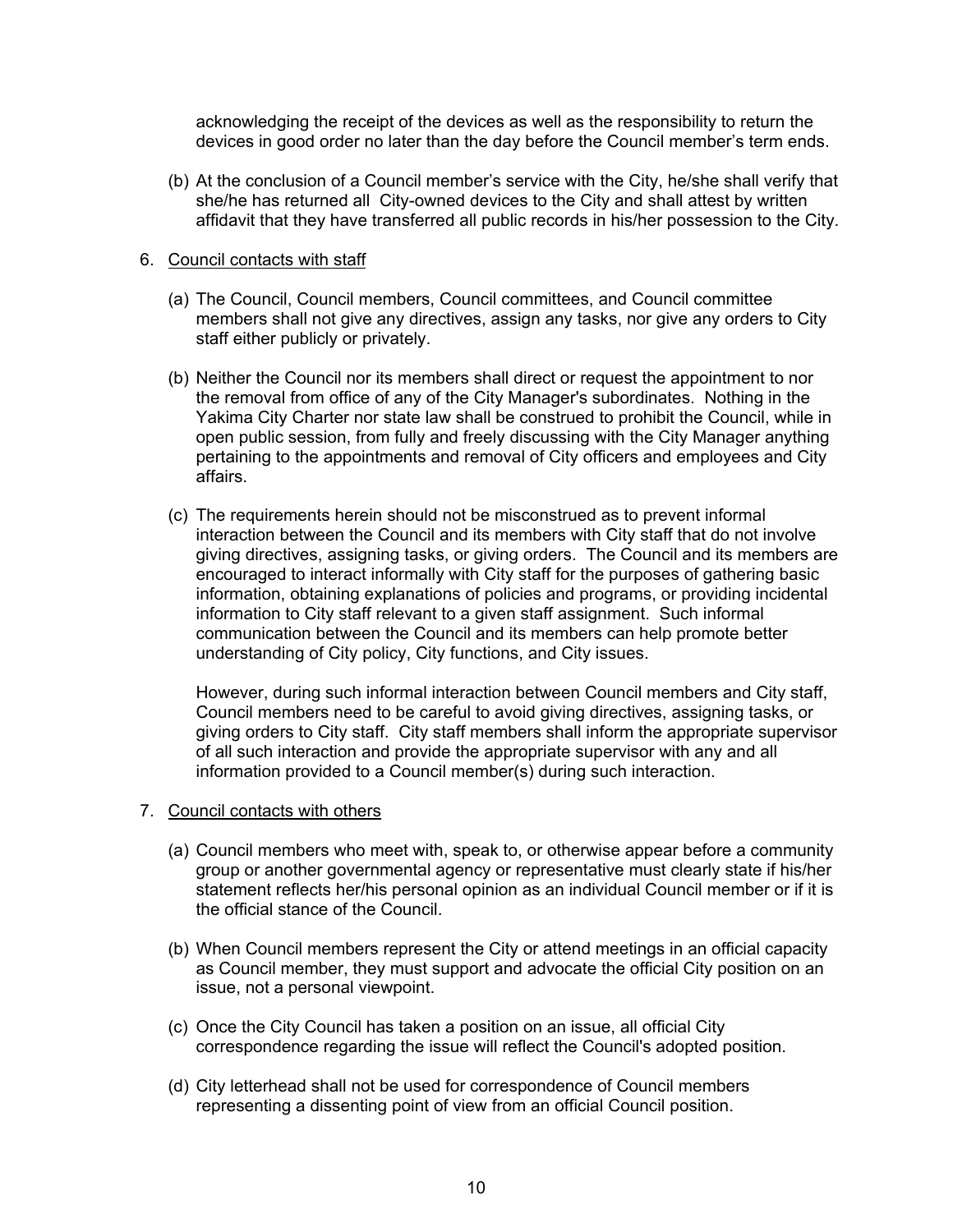acknowledging the receipt of the devices as well as the responsibility to return the devices in good order no later than the day before the Council member's term ends.

(b) At the conclusion of a Council member's service with the City, he/she shall verify that she/he has returned all City-owned devices to the City and shall attest by written affidavit that they have transferred all public records in his/her possession to the City.

#### 6. Council contacts with staff

- (a) The Council, Council members, Council committees, and Council committee members shall not give any directives, assign any tasks, nor give any orders to City staff either publicly or privately.
- (b) Neither the Council nor its members shall direct or request the appointment to nor the removal from office of any of the City Manager's subordinates. Nothing in the Yakima City Charter nor state law shall be construed to prohibit the Council, while in open public session, from fully and freely discussing with the City Manager anything pertaining to the appointments and removal of City officers and employees and City affairs.
- (c) The requirements herein should not be misconstrued as to prevent informal interaction between the Council and its members with City staff that do not involve giving directives, assigning tasks, or giving orders. The Council and its members are encouraged to interact informally with City staff for the purposes of gathering basic information, obtaining explanations of policies and programs, or providing incidental information to City staff relevant to a given staff assignment. Such informal communication between the Council and its members can help promote better understanding of City policy, City functions, and City issues.

However, during such informal interaction between Council members and City staff, Council members need to be careful to avoid giving directives, assigning tasks, or giving orders to City staff. City staff members shall inform the appropriate supervisor of all such interaction and provide the appropriate supervisor with any and all information provided to a Council member(s) during such interaction.

- 7. Council contacts with others
	- (a) Council members who meet with, speak to, or otherwise appear before a community group or another governmental agency or representative must clearly state if his/her statement reflects her/his personal opinion as an individual Council member or if it is the official stance of the Council.
	- (b) When Council members represent the City or attend meetings in an official capacity as Council member, they must support and advocate the official City position on an issue, not a personal viewpoint.
	- (c) Once the City Council has taken a position on an issue, all official City correspondence regarding the issue will reflect the Council's adopted position.
	- (d) City letterhead shall not be used for correspondence of Council members representing a dissenting point of view from an official Council position.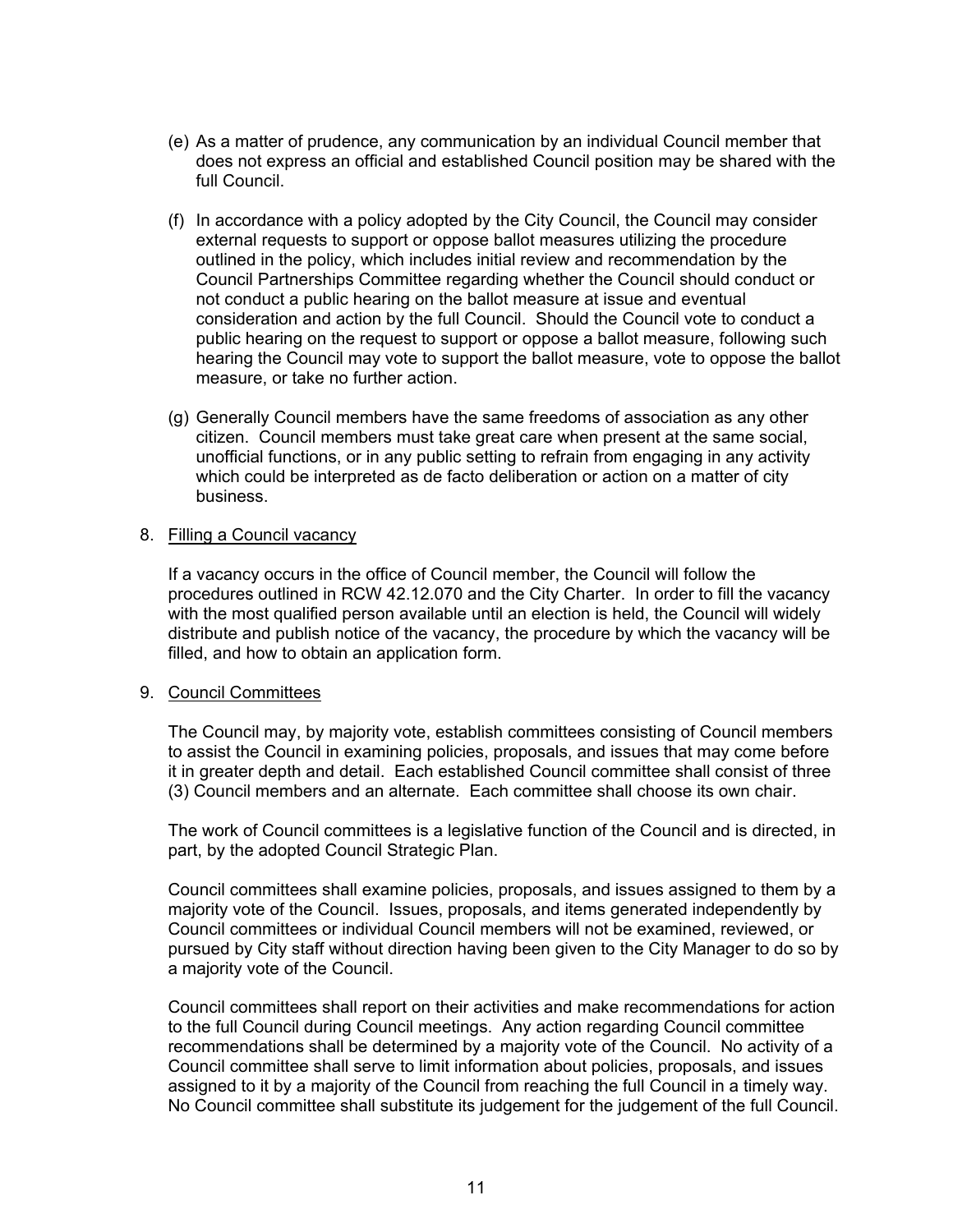- (e) As a matter of prudence, any communication by an individual Council member that does not express an official and established Council position may be shared with the full Council.
- (f) In accordance with a policy adopted by the City Council, the Council may consider external requests to support or oppose ballot measures utilizing the procedure outlined in the policy, which includes initial review and recommendation by the Council Partnerships Committee regarding whether the Council should conduct or not conduct a public hearing on the ballot measure at issue and eventual consideration and action by the full Council. Should the Council vote to conduct a public hearing on the request to support or oppose a ballot measure, following such hearing the Council may vote to support the ballot measure, vote to oppose the ballot measure, or take no further action.
- (g) Generally Council members have the same freedoms of association as any other citizen. Council members must take great care when present at the same social, unofficial functions, or in any public setting to refrain from engaging in any activity which could be interpreted as de facto deliberation or action on a matter of city business.

#### 8. Filling a Council vacancy

 If a vacancy occurs in the office of Council member, the Council will follow the procedures outlined in RCW 42.12.070 and the City Charter. In order to fill the vacancy with the most qualified person available until an election is held, the Council will widely distribute and publish notice of the vacancy, the procedure by which the vacancy will be filled, and how to obtain an application form.

#### 9. Council Committees

The Council may, by majority vote, establish committees consisting of Council members to assist the Council in examining policies, proposals, and issues that may come before it in greater depth and detail. Each established Council committee shall consist of three (3) Council members and an alternate. Each committee shall choose its own chair.

The work of Council committees is a legislative function of the Council and is directed, in part, by the adopted Council Strategic Plan.

Council committees shall examine policies, proposals, and issues assigned to them by a majority vote of the Council. Issues, proposals, and items generated independently by Council committees or individual Council members will not be examined, reviewed, or pursued by City staff without direction having been given to the City Manager to do so by a majority vote of the Council.

Council committees shall report on their activities and make recommendations for action to the full Council during Council meetings. Any action regarding Council committee recommendations shall be determined by a majority vote of the Council. No activity of a Council committee shall serve to limit information about policies, proposals, and issues assigned to it by a majority of the Council from reaching the full Council in a timely way. No Council committee shall substitute its judgement for the judgement of the full Council.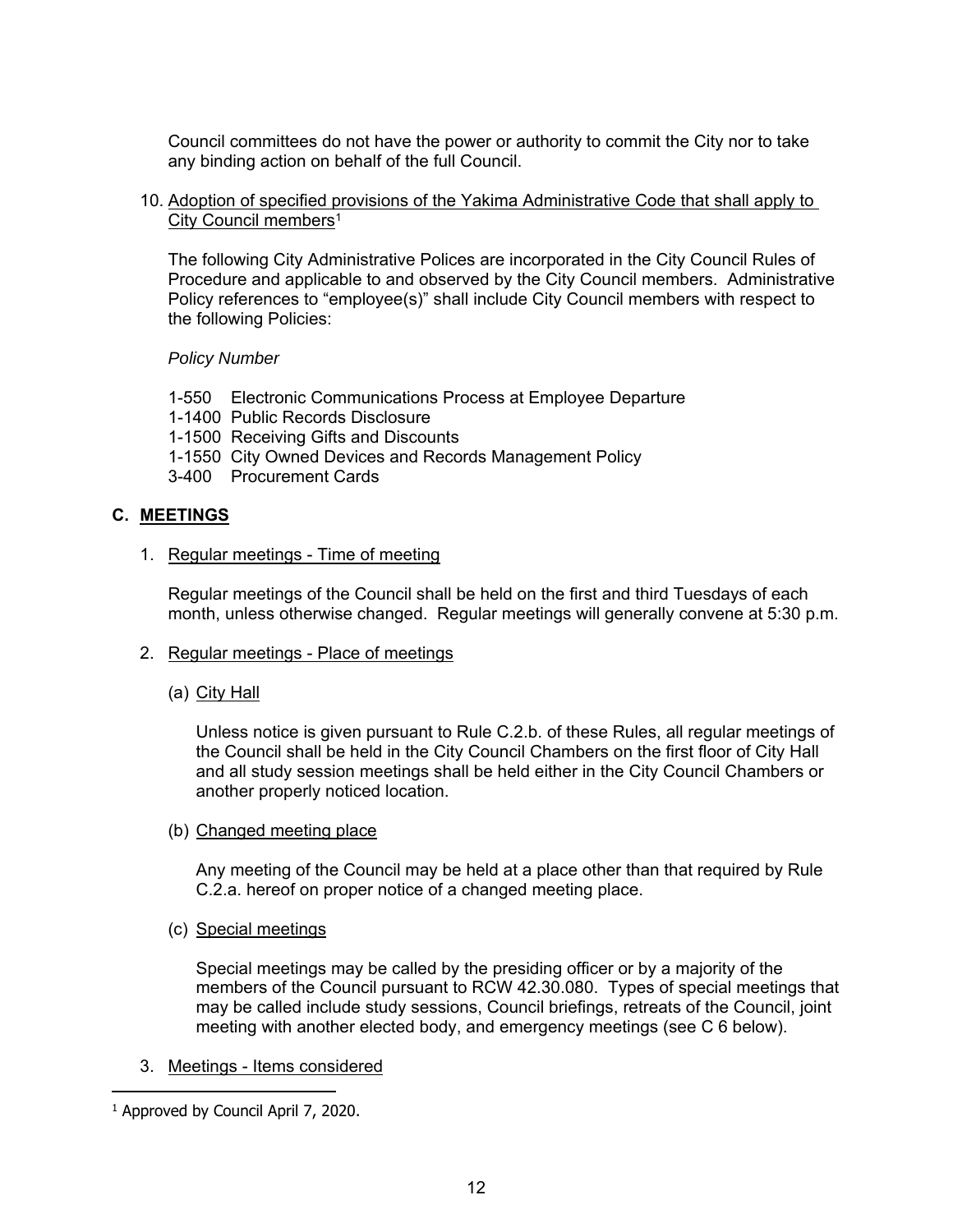Council committees do not have the power or authority to commit the City nor to take any binding action on behalf of the full Council.

10. Adoption of specified provisions of the Yakima Administrative Code that shall apply to City Council members<sup>1</sup>

 The following City Administrative Polices are incorporated in the City Council Rules of Procedure and applicable to and observed by the City Council members. Administrative Policy references to "employee(s)" shall include City Council members with respect to the following Policies:

*Policy Number* 

- 1-550 Electronic Communications Process at Employee Departure
- 1-1400 Public Records Disclosure
- 1-1500 Receiving Gifts and Discounts
- 1-1550 City Owned Devices and Records Management Policy
- 3-400 Procurement Cards

## **C. MEETINGS**

#### 1. Regular meetings - Time of meeting

 Regular meetings of the Council shall be held on the first and third Tuesdays of each month, unless otherwise changed. Regular meetings will generally convene at 5:30 p.m.

- 2. Regular meetings Place of meetings
	- (a) City Hall

Unless notice is given pursuant to Rule C.2.b. of these Rules, all regular meetings of the Council shall be held in the City Council Chambers on the first floor of City Hall and all study session meetings shall be held either in the City Council Chambers or another properly noticed location.

(b) Changed meeting place

 Any meeting of the Council may be held at a place other than that required by Rule C.2.a. hereof on proper notice of a changed meeting place.

(c) Special meetings

 Special meetings may be called by the presiding officer or by a majority of the members of the Council pursuant to RCW 42.30.080. Types of special meetings that may be called include study sessions, Council briefings, retreats of the Council, joint meeting with another elected body, and emergency meetings (see C 6 below).

3. Meetings - Items considered

 $\overline{a}$ 

<sup>&</sup>lt;sup>1</sup> Approved by Council April 7, 2020.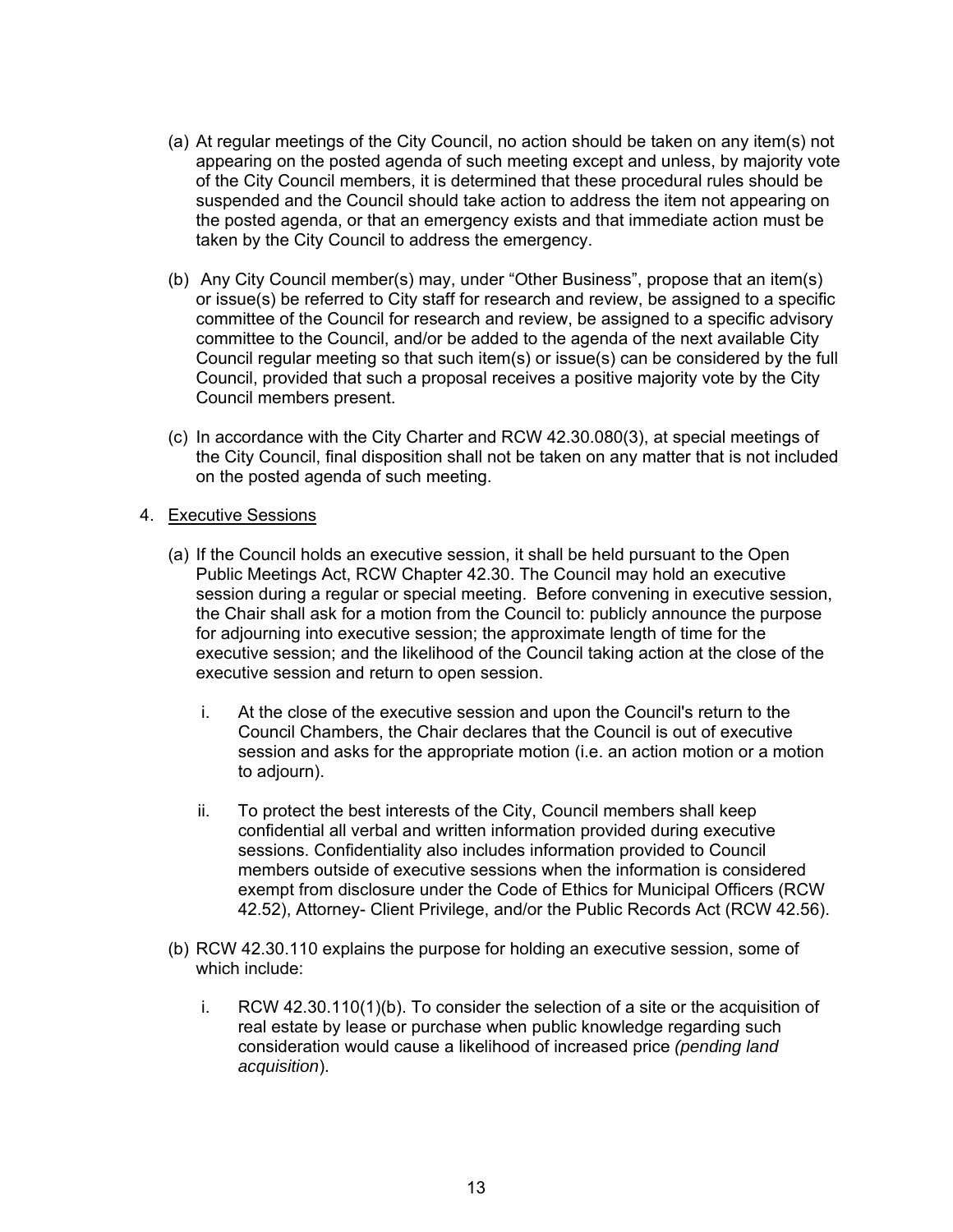- (a) At regular meetings of the City Council, no action should be taken on any item(s) not appearing on the posted agenda of such meeting except and unless, by majority vote of the City Council members, it is determined that these procedural rules should be suspended and the Council should take action to address the item not appearing on the posted agenda, or that an emergency exists and that immediate action must be taken by the City Council to address the emergency.
- (b) Any City Council member(s) may, under "Other Business", propose that an item(s) or issue(s) be referred to City staff for research and review, be assigned to a specific committee of the Council for research and review, be assigned to a specific advisory committee to the Council, and/or be added to the agenda of the next available City Council regular meeting so that such item(s) or issue(s) can be considered by the full Council, provided that such a proposal receives a positive majority vote by the City Council members present.
- (c) In accordance with the City Charter and RCW 42.30.080(3), at special meetings of the City Council, final disposition shall not be taken on any matter that is not included on the posted agenda of such meeting.

## 4. Executive Sessions

- (a) If the Council holds an executive session, it shall be held pursuant to the Open Public Meetings Act, RCW Chapter 42.30. The Council may hold an executive session during a regular or special meeting. Before convening in executive session, the Chair shall ask for a motion from the Council to: publicly announce the purpose for adjourning into executive session; the approximate length of time for the executive session; and the likelihood of the Council taking action at the close of the executive session and return to open session.
	- i. At the close of the executive session and upon the Council's return to the Council Chambers, the Chair declares that the Council is out of executive session and asks for the appropriate motion (i.e. an action motion or a motion to adjourn).
	- ii. To protect the best interests of the City, Council members shall keep confidential all verbal and written information provided during executive sessions. Confidentiality also includes information provided to Council members outside of executive sessions when the information is considered exempt from disclosure under the Code of Ethics for Municipal Officers (RCW 42.52), Attorney- Client Privilege, and/or the Public Records Act (RCW 42.56).
- (b) RCW 42.30.110 explains the purpose for holding an executive session, some of which include:
	- i. RCW 42.30.110(1)(b). To consider the selection of a site or the acquisition of real estate by lease or purchase when public knowledge regarding such consideration would cause a likelihood of increased price *(pending land acquisition*).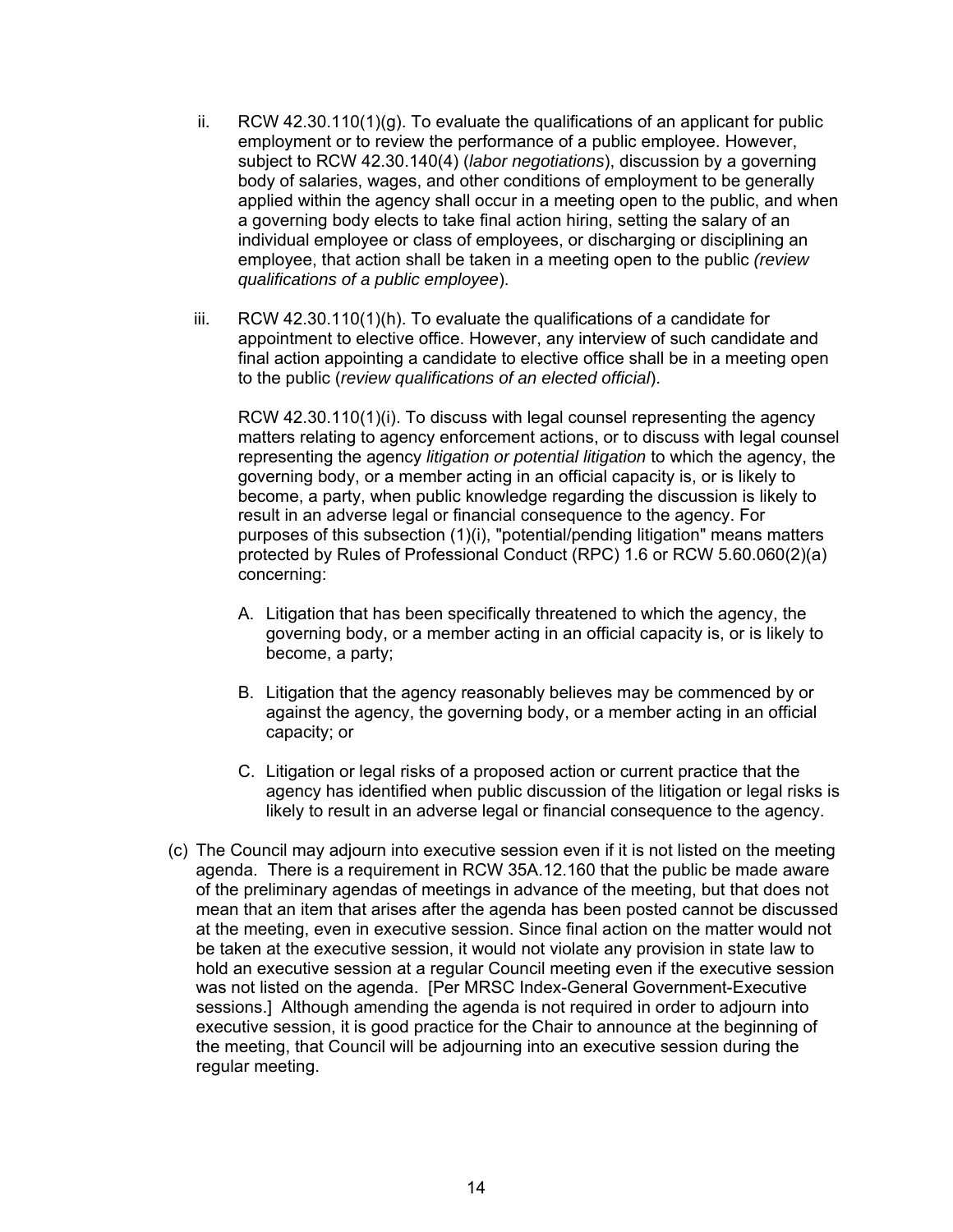- ii. RCW 42.30.110(1)(g). To evaluate the qualifications of an applicant for public employment or to review the performance of a public employee. However, subject to RCW 42.30.140(4) (*labor negotiations*), discussion by a governing body of salaries, wages, and other conditions of employment to be generally applied within the agency shall occur in a meeting open to the public, and when a governing body elects to take final action hiring, setting the salary of an individual employee or class of employees, or discharging or disciplining an employee, that action shall be taken in a meeting open to the public *(review qualifications of a public employee*).
- iii. RCW 42.30.110(1)(h). To evaluate the qualifications of a candidate for appointment to elective office. However, any interview of such candidate and final action appointing a candidate to elective office shall be in a meeting open to the public (*review qualifications of an elected official*).

RCW 42.30.110(1)(i). To discuss with legal counsel representing the agency matters relating to agency enforcement actions, or to discuss with legal counsel representing the agency *litigation or potential litigation* to which the agency, the governing body, or a member acting in an official capacity is, or is likely to become, a party, when public knowledge regarding the discussion is likely to result in an adverse legal or financial consequence to the agency. For purposes of this subsection (1)(i), "potential/pending litigation" means matters protected by Rules of Professional Conduct (RPC) 1.6 or RCW 5.60.060(2)(a) concerning:

- A. Litigation that has been specifically threatened to which the agency, the governing body, or a member acting in an official capacity is, or is likely to become, a party;
- B. Litigation that the agency reasonably believes may be commenced by or against the agency, the governing body, or a member acting in an official capacity; or
- C. Litigation or legal risks of a proposed action or current practice that the agency has identified when public discussion of the litigation or legal risks is likely to result in an adverse legal or financial consequence to the agency.
- (c) The Council may adjourn into executive session even if it is not listed on the meeting agenda. There is a requirement in RCW 35A.12.160 that the public be made aware of the preliminary agendas of meetings in advance of the meeting, but that does not mean that an item that arises after the agenda has been posted cannot be discussed at the meeting, even in executive session. Since final action on the matter would not be taken at the executive session, it would not violate any provision in state law to hold an executive session at a regular Council meeting even if the executive session was not listed on the agenda. [Per MRSC Index-General Government-Executive sessions.] Although amending the agenda is not required in order to adjourn into executive session, it is good practice for the Chair to announce at the beginning of the meeting, that Council will be adjourning into an executive session during the regular meeting.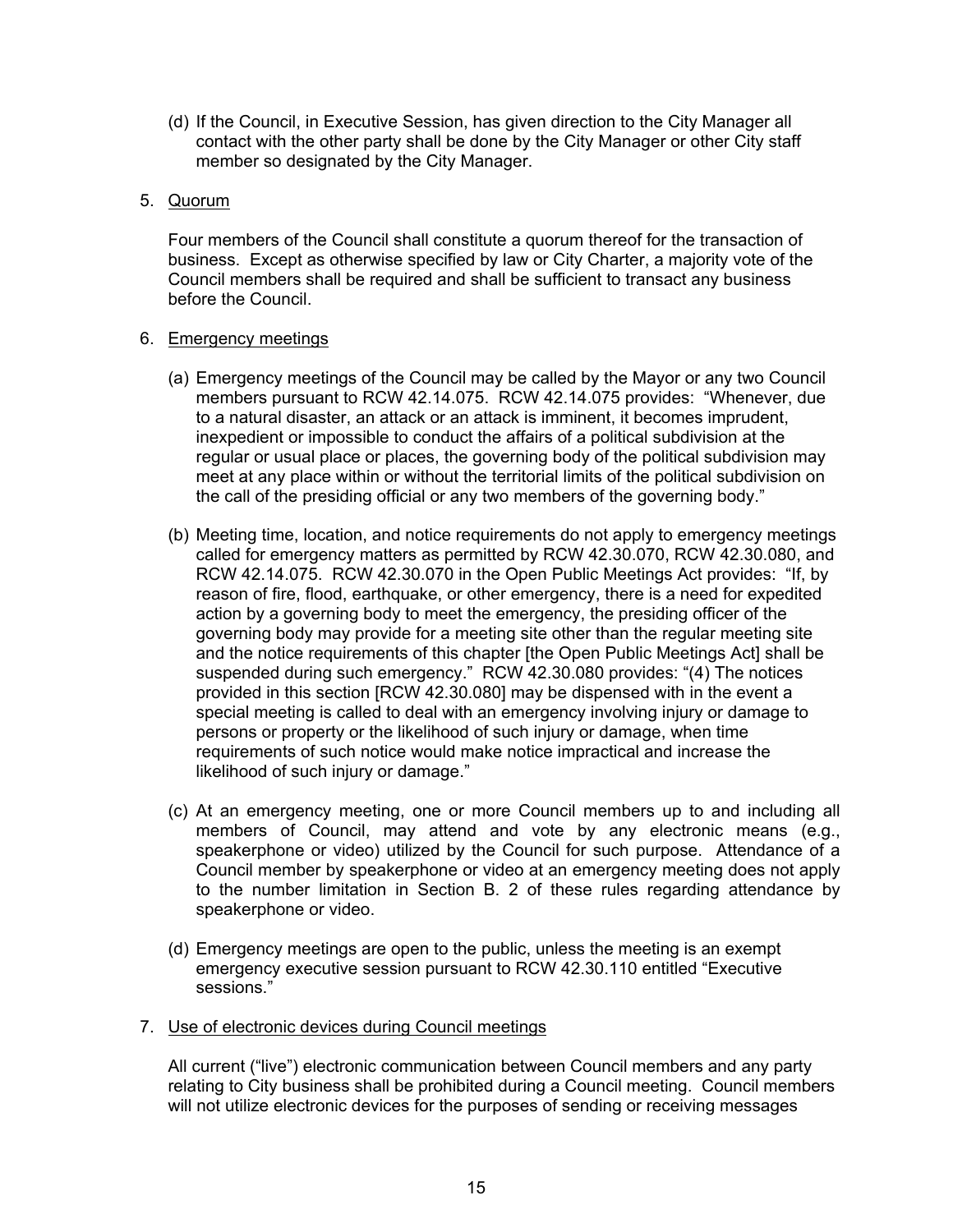(d) If the Council, in Executive Session, has given direction to the City Manager all contact with the other party shall be done by the City Manager or other City staff member so designated by the City Manager.

## 5. Quorum

 Four members of the Council shall constitute a quorum thereof for the transaction of business. Except as otherwise specified by law or City Charter, a majority vote of the Council members shall be required and shall be sufficient to transact any business before the Council.

#### 6. Emergency meetings

- (a) Emergency meetings of the Council may be called by the Mayor or any two Council members pursuant to RCW 42.14.075. RCW 42.14.075 provides: "Whenever, due to a natural disaster, an attack or an attack is imminent, it becomes imprudent, inexpedient or impossible to conduct the affairs of a political subdivision at the regular or usual place or places, the governing body of the political subdivision may meet at any place within or without the territorial limits of the political subdivision on the call of the presiding official or any two members of the governing body."
- (b) Meeting time, location, and notice requirements do not apply to emergency meetings called for emergency matters as permitted by RCW 42.30.070, RCW 42.30.080, and RCW 42.14.075. RCW 42.30.070 in the Open Public Meetings Act provides: "If, by reason of fire, flood, earthquake, or other emergency, there is a need for expedited action by a governing body to meet the emergency, the presiding officer of the governing body may provide for a meeting site other than the regular meeting site and the notice requirements of this chapter [the Open Public Meetings Act] shall be suspended during such emergency." RCW 42.30.080 provides: "(4) The notices provided in this section [RCW 42.30.080] may be dispensed with in the event a special meeting is called to deal with an emergency involving injury or damage to persons or property or the likelihood of such injury or damage, when time requirements of such notice would make notice impractical and increase the likelihood of such injury or damage."
- (c) At an emergency meeting, one or more Council members up to and including all members of Council, may attend and vote by any electronic means (e.g., speakerphone or video) utilized by the Council for such purpose. Attendance of a Council member by speakerphone or video at an emergency meeting does not apply to the number limitation in Section B. 2 of these rules regarding attendance by speakerphone or video.
- (d) Emergency meetings are open to the public, unless the meeting is an exempt emergency executive session pursuant to RCW 42.30.110 entitled "Executive sessions."
- 7. Use of electronic devices during Council meetings

All current ("live") electronic communication between Council members and any party relating to City business shall be prohibited during a Council meeting. Council members will not utilize electronic devices for the purposes of sending or receiving messages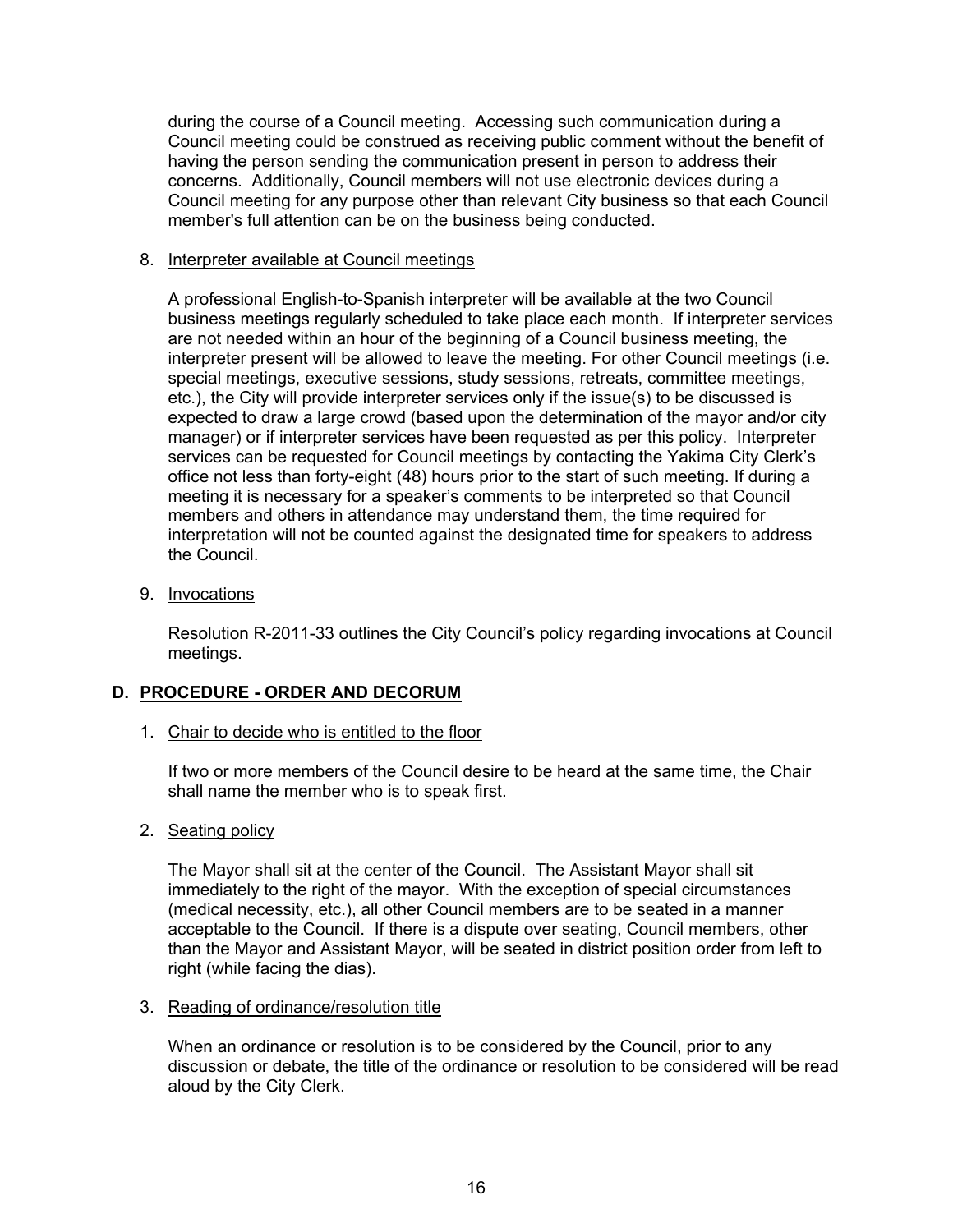during the course of a Council meeting. Accessing such communication during a Council meeting could be construed as receiving public comment without the benefit of having the person sending the communication present in person to address their concerns. Additionally, Council members will not use electronic devices during a Council meeting for any purpose other than relevant City business so that each Council member's full attention can be on the business being conducted.

#### 8. Interpreter available at Council meetings

A professional English-to-Spanish interpreter will be available at the two Council business meetings regularly scheduled to take place each month. If interpreter services are not needed within an hour of the beginning of a Council business meeting, the interpreter present will be allowed to leave the meeting. For other Council meetings (i.e. special meetings, executive sessions, study sessions, retreats, committee meetings, etc.), the City will provide interpreter services only if the issue(s) to be discussed is expected to draw a large crowd (based upon the determination of the mayor and/or city manager) or if interpreter services have been requested as per this policy. Interpreter services can be requested for Council meetings by contacting the Yakima City Clerk's office not less than forty-eight (48) hours prior to the start of such meeting. If during a meeting it is necessary for a speaker's comments to be interpreted so that Council members and others in attendance may understand them, the time required for interpretation will not be counted against the designated time for speakers to address the Council.

## 9. Invocations

 Resolution R-2011-33 outlines the City Council's policy regarding invocations at Council meetings.

## **D. PROCEDURE - ORDER AND DECORUM**

## 1. Chair to decide who is entitled to the floor

 If two or more members of the Council desire to be heard at the same time, the Chair shall name the member who is to speak first.

## 2. Seating policy

 The Mayor shall sit at the center of the Council. The Assistant Mayor shall sit immediately to the right of the mayor. With the exception of special circumstances (medical necessity, etc.), all other Council members are to be seated in a manner acceptable to the Council. If there is a dispute over seating, Council members, other than the Mayor and Assistant Mayor, will be seated in district position order from left to right (while facing the dias).

## 3. Reading of ordinance/resolution title

 When an ordinance or resolution is to be considered by the Council, prior to any discussion or debate, the title of the ordinance or resolution to be considered will be read aloud by the City Clerk.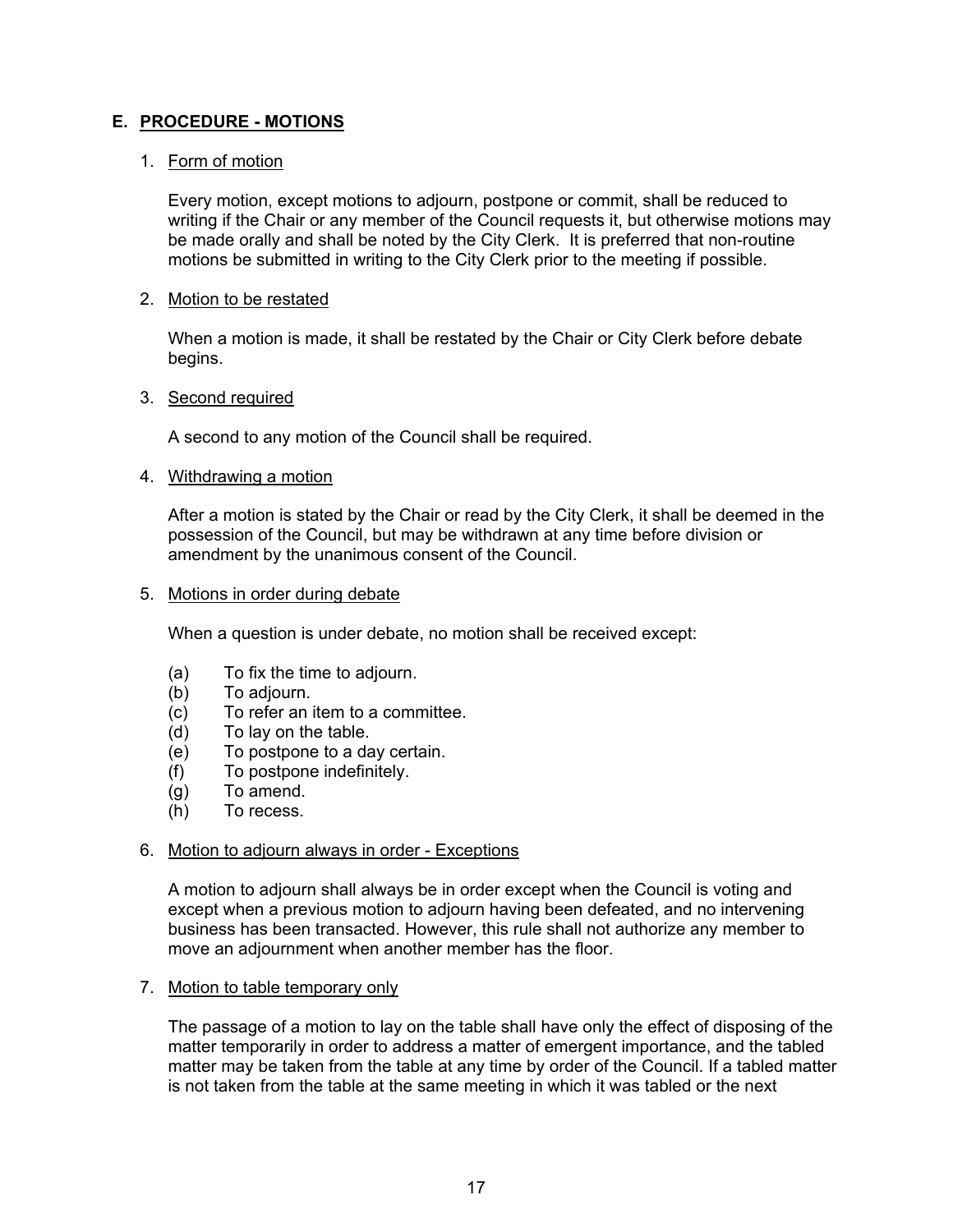## **E. PROCEDURE - MOTIONS**

## 1. Form of motion

 Every motion, except motions to adjourn, postpone or commit, shall be reduced to writing if the Chair or any member of the Council requests it, but otherwise motions may be made orally and shall be noted by the City Clerk. It is preferred that non-routine motions be submitted in writing to the City Clerk prior to the meeting if possible.

#### 2. Motion to be restated

 When a motion is made, it shall be restated by the Chair or City Clerk before debate begins.

## 3. Second required

A second to any motion of the Council shall be required.

## 4. Withdrawing a motion

 After a motion is stated by the Chair or read by the City Clerk, it shall be deemed in the possession of the Council, but may be withdrawn at any time before division or amendment by the unanimous consent of the Council.

#### 5. Motions in order during debate

When a question is under debate, no motion shall be received except:

- (a) To fix the time to adjourn.
- (b) To adjourn.
- (c) To refer an item to a committee.
- (d) To lay on the table.
- (e) To postpone to a day certain.
- (f) To postpone indefinitely.
- (g) To amend.
- (h) To recess.

#### 6. Motion to adjourn always in order - Exceptions

 A motion to adjourn shall always be in order except when the Council is voting and except when a previous motion to adjourn having been defeated, and no intervening business has been transacted. However, this rule shall not authorize any member to move an adjournment when another member has the floor.

#### 7. Motion to table temporary only

 The passage of a motion to lay on the table shall have only the effect of disposing of the matter temporarily in order to address a matter of emergent importance, and the tabled matter may be taken from the table at any time by order of the Council. If a tabled matter is not taken from the table at the same meeting in which it was tabled or the next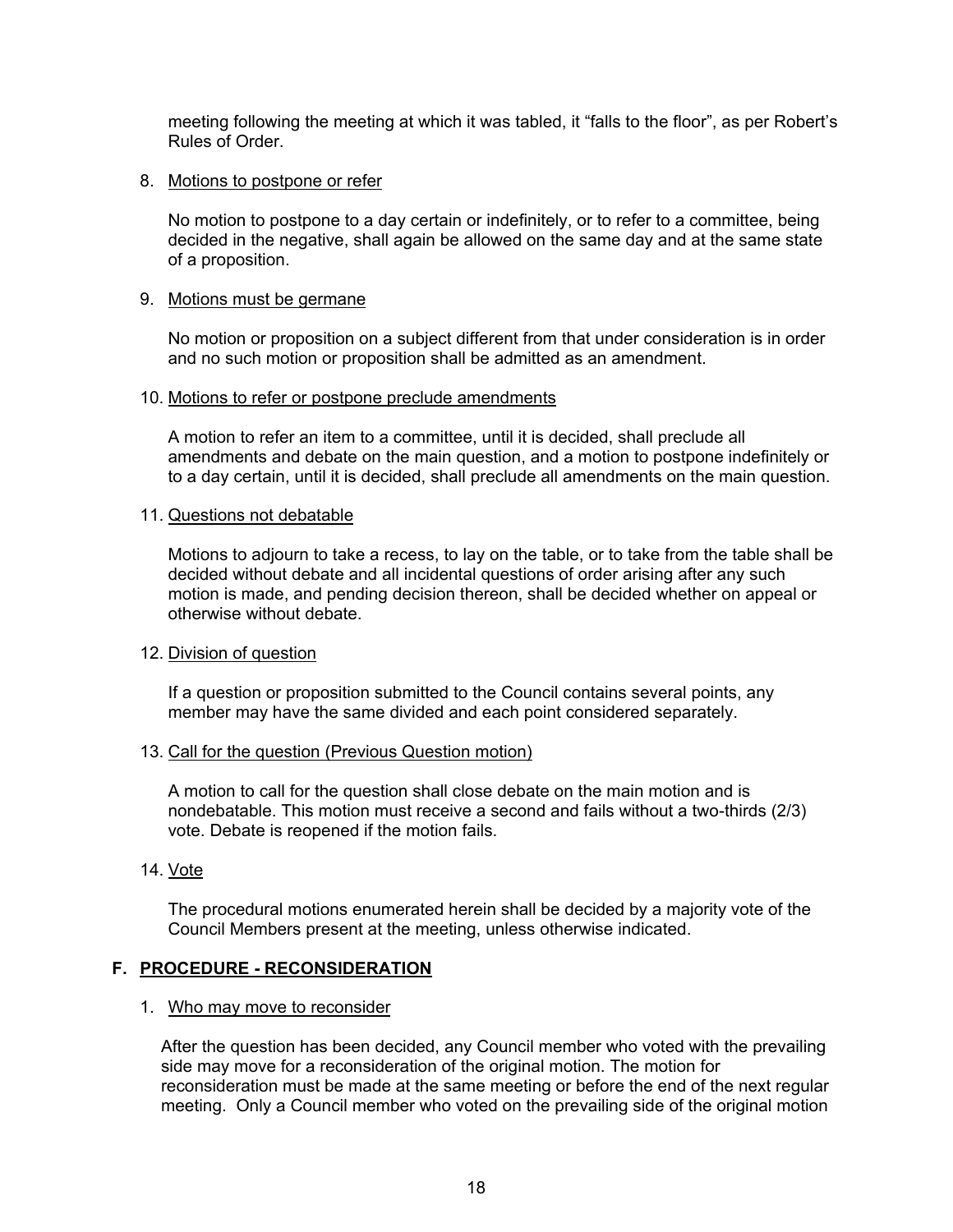meeting following the meeting at which it was tabled, it "falls to the floor", as per Robert's Rules of Order.

#### 8. Motions to postpone or refer

 No motion to postpone to a day certain or indefinitely, or to refer to a committee, being decided in the negative, shall again be allowed on the same day and at the same state of a proposition.

#### 9. Motions must be germane

 No motion or proposition on a subject different from that under consideration is in order and no such motion or proposition shall be admitted as an amendment.

#### 10. Motions to refer or postpone preclude amendments

 A motion to refer an item to a committee, until it is decided, shall preclude all amendments and debate on the main question, and a motion to postpone indefinitely or to a day certain, until it is decided, shall preclude all amendments on the main question.

#### 11. Questions not debatable

 Motions to adjourn to take a recess, to lay on the table, or to take from the table shall be decided without debate and all incidental questions of order arising after any such motion is made, and pending decision thereon, shall be decided whether on appeal or otherwise without debate.

#### 12. Division of question

 If a question or proposition submitted to the Council contains several points, any member may have the same divided and each point considered separately.

#### 13. Call for the question (Previous Question motion)

A motion to call for the question shall close debate on the main motion and is nondebatable. This motion must receive a second and fails without a two-thirds (2/3) vote. Debate is reopened if the motion fails.

#### 14. Vote

The procedural motions enumerated herein shall be decided by a majority vote of the Council Members present at the meeting, unless otherwise indicated.

#### **F. PROCEDURE - RECONSIDERATION**

#### 1. Who may move to reconsider

After the question has been decided, any Council member who voted with the prevailing side may move for a reconsideration of the original motion. The motion for reconsideration must be made at the same meeting or before the end of the next regular meeting. Only a Council member who voted on the prevailing side of the original motion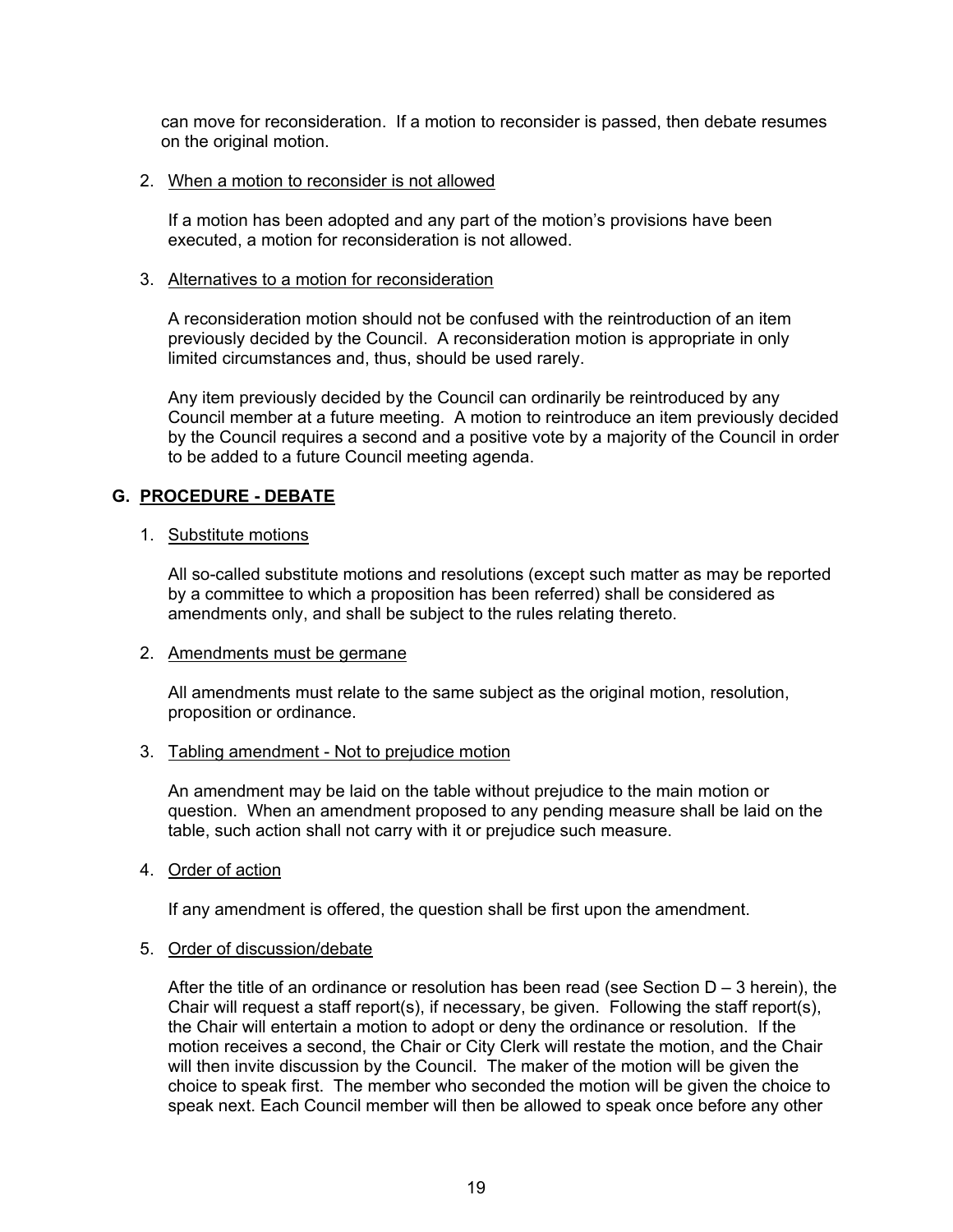can move for reconsideration. If a motion to reconsider is passed, then debate resumes on the original motion.

#### 2. When a motion to reconsider is not allowed

If a motion has been adopted and any part of the motion's provisions have been executed, a motion for reconsideration is not allowed.

## 3. Alternatives to a motion for reconsideration

A reconsideration motion should not be confused with the reintroduction of an item previously decided by the Council. A reconsideration motion is appropriate in only limited circumstances and, thus, should be used rarely.

Any item previously decided by the Council can ordinarily be reintroduced by any Council member at a future meeting. A motion to reintroduce an item previously decided by the Council requires a second and a positive vote by a majority of the Council in order to be added to a future Council meeting agenda.

## **G. PROCEDURE - DEBATE**

## 1. Substitute motions

 All so-called substitute motions and resolutions (except such matter as may be reported by a committee to which a proposition has been referred) shall be considered as amendments only, and shall be subject to the rules relating thereto.

## 2. Amendments must be germane

 All amendments must relate to the same subject as the original motion, resolution, proposition or ordinance.

## 3. Tabling amendment - Not to prejudice motion

 An amendment may be laid on the table without prejudice to the main motion or question. When an amendment proposed to any pending measure shall be laid on the table, such action shall not carry with it or prejudice such measure.

## 4. Order of action

If any amendment is offered, the question shall be first upon the amendment.

## 5. Order of discussion/debate

After the title of an ordinance or resolution has been read (see Section  $D - 3$  herein), the Chair will request a staff report(s), if necessary, be given. Following the staff report(s), the Chair will entertain a motion to adopt or deny the ordinance or resolution. If the motion receives a second, the Chair or City Clerk will restate the motion, and the Chair will then invite discussion by the Council. The maker of the motion will be given the choice to speak first. The member who seconded the motion will be given the choice to speak next. Each Council member will then be allowed to speak once before any other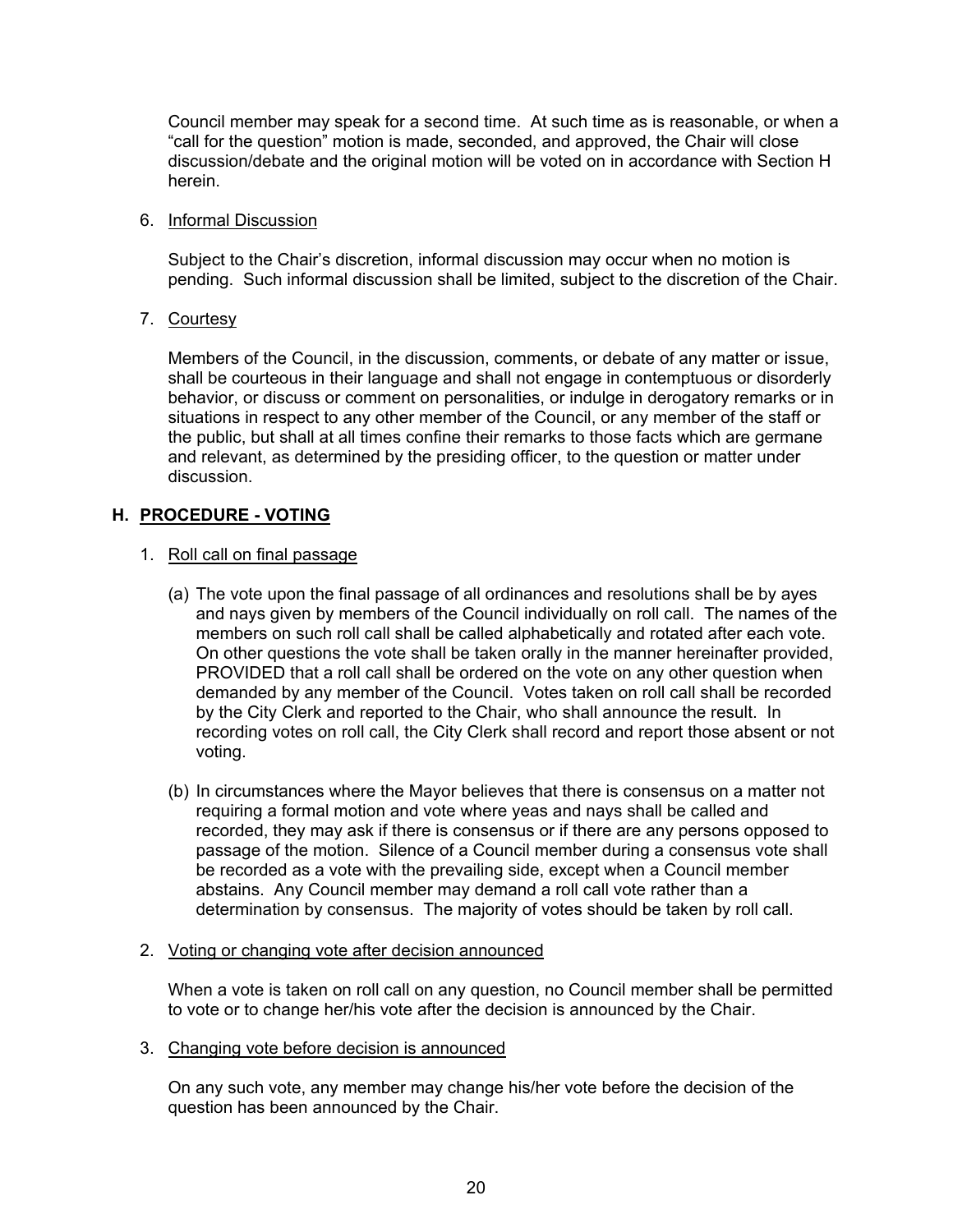Council member may speak for a second time. At such time as is reasonable, or when a "call for the question" motion is made, seconded, and approved, the Chair will close discussion/debate and the original motion will be voted on in accordance with Section H herein.

#### 6. Informal Discussion

 Subject to the Chair's discretion, informal discussion may occur when no motion is pending. Such informal discussion shall be limited, subject to the discretion of the Chair.

7. Courtesy

 Members of the Council, in the discussion, comments, or debate of any matter or issue, shall be courteous in their language and shall not engage in contemptuous or disorderly behavior, or discuss or comment on personalities, or indulge in derogatory remarks or in situations in respect to any other member of the Council, or any member of the staff or the public, but shall at all times confine their remarks to those facts which are germane and relevant, as determined by the presiding officer, to the question or matter under discussion.

## **H. PROCEDURE - VOTING**

## 1. Roll call on final passage

- (a) The vote upon the final passage of all ordinances and resolutions shall be by ayes and nays given by members of the Council individually on roll call. The names of the members on such roll call shall be called alphabetically and rotated after each vote. On other questions the vote shall be taken orally in the manner hereinafter provided, PROVIDED that a roll call shall be ordered on the vote on any other question when demanded by any member of the Council. Votes taken on roll call shall be recorded by the City Clerk and reported to the Chair, who shall announce the result. In recording votes on roll call, the City Clerk shall record and report those absent or not voting.
- (b) In circumstances where the Mayor believes that there is consensus on a matter not requiring a formal motion and vote where yeas and nays shall be called and recorded, they may ask if there is consensus or if there are any persons opposed to passage of the motion. Silence of a Council member during a consensus vote shall be recorded as a vote with the prevailing side, except when a Council member abstains. Any Council member may demand a roll call vote rather than a determination by consensus. The majority of votes should be taken by roll call.
- 2. Voting or changing vote after decision announced

 When a vote is taken on roll call on any question, no Council member shall be permitted to vote or to change her/his vote after the decision is announced by the Chair.

3. Changing vote before decision is announced

 On any such vote, any member may change his/her vote before the decision of the question has been announced by the Chair.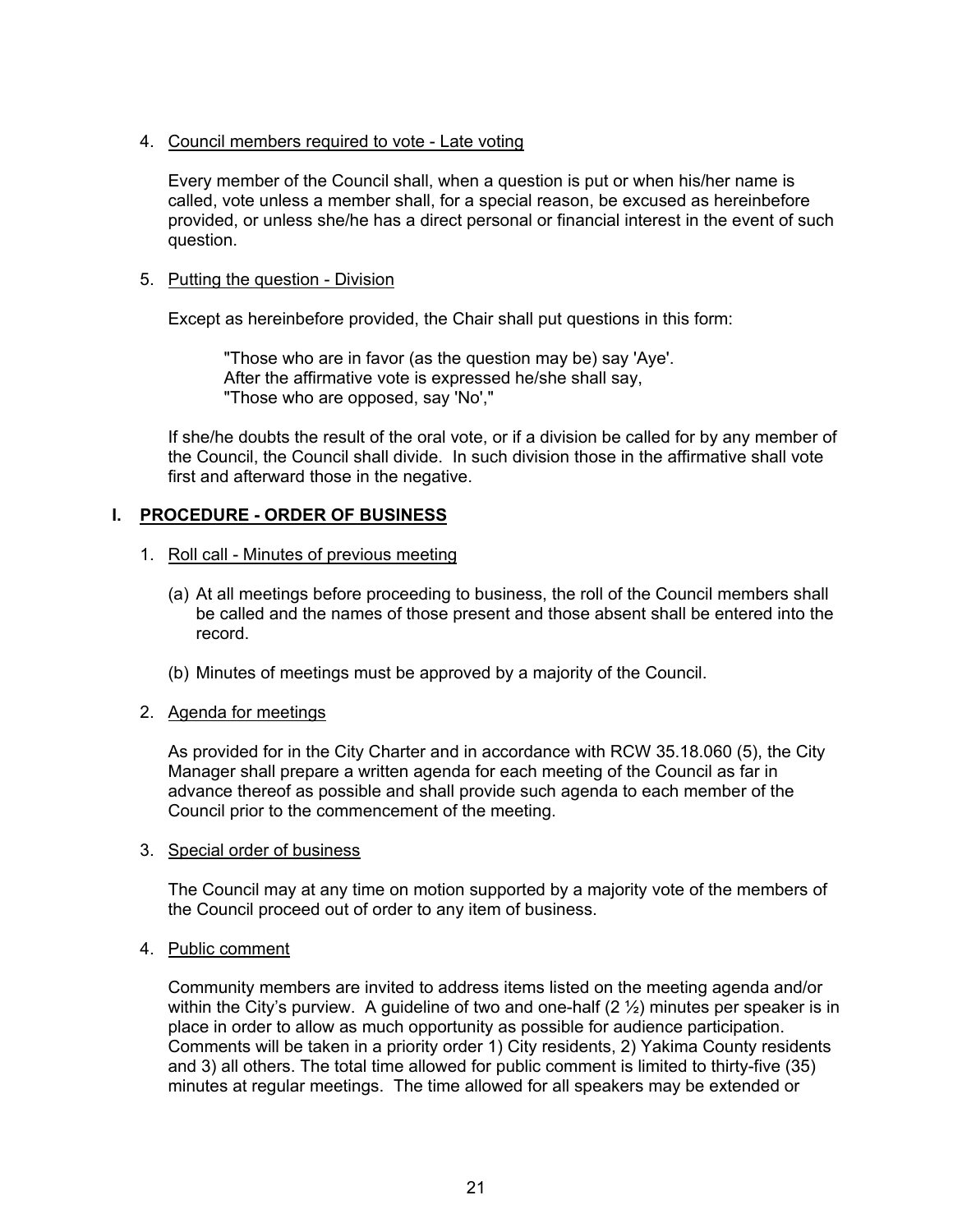## 4. Council members required to vote - Late voting

 Every member of the Council shall, when a question is put or when his/her name is called, vote unless a member shall, for a special reason, be excused as hereinbefore provided, or unless she/he has a direct personal or financial interest in the event of such question.

## 5. Putting the question - Division

Except as hereinbefore provided, the Chair shall put questions in this form:

 "Those who are in favor (as the question may be) say 'Aye'. After the affirmative vote is expressed he/she shall say, "Those who are opposed, say 'No',"

 If she/he doubts the result of the oral vote, or if a division be called for by any member of the Council, the Council shall divide. In such division those in the affirmative shall vote first and afterward those in the negative.

## **I. PROCEDURE - ORDER OF BUSINESS**

## 1. Roll call - Minutes of previous meeting

- (a) At all meetings before proceeding to business, the roll of the Council members shall be called and the names of those present and those absent shall be entered into the record.
- (b) Minutes of meetings must be approved by a majority of the Council.

## 2. Agenda for meetings

 As provided for in the City Charter and in accordance with RCW 35.18.060 (5), the City Manager shall prepare a written agenda for each meeting of the Council as far in advance thereof as possible and shall provide such agenda to each member of the Council prior to the commencement of the meeting.

#### 3. Special order of business

 The Council may at any time on motion supported by a majority vote of the members of the Council proceed out of order to any item of business.

#### 4. Public comment

 Community members are invited to address items listed on the meeting agenda and/or within the City's purview. A guideline of two and one-half  $(2 \frac{1}{2})$  minutes per speaker is in place in order to allow as much opportunity as possible for audience participation. Comments will be taken in a priority order 1) City residents, 2) Yakima County residents and 3) all others. The total time allowed for public comment is limited to thirty-five (35) minutes at regular meetings. The time allowed for all speakers may be extended or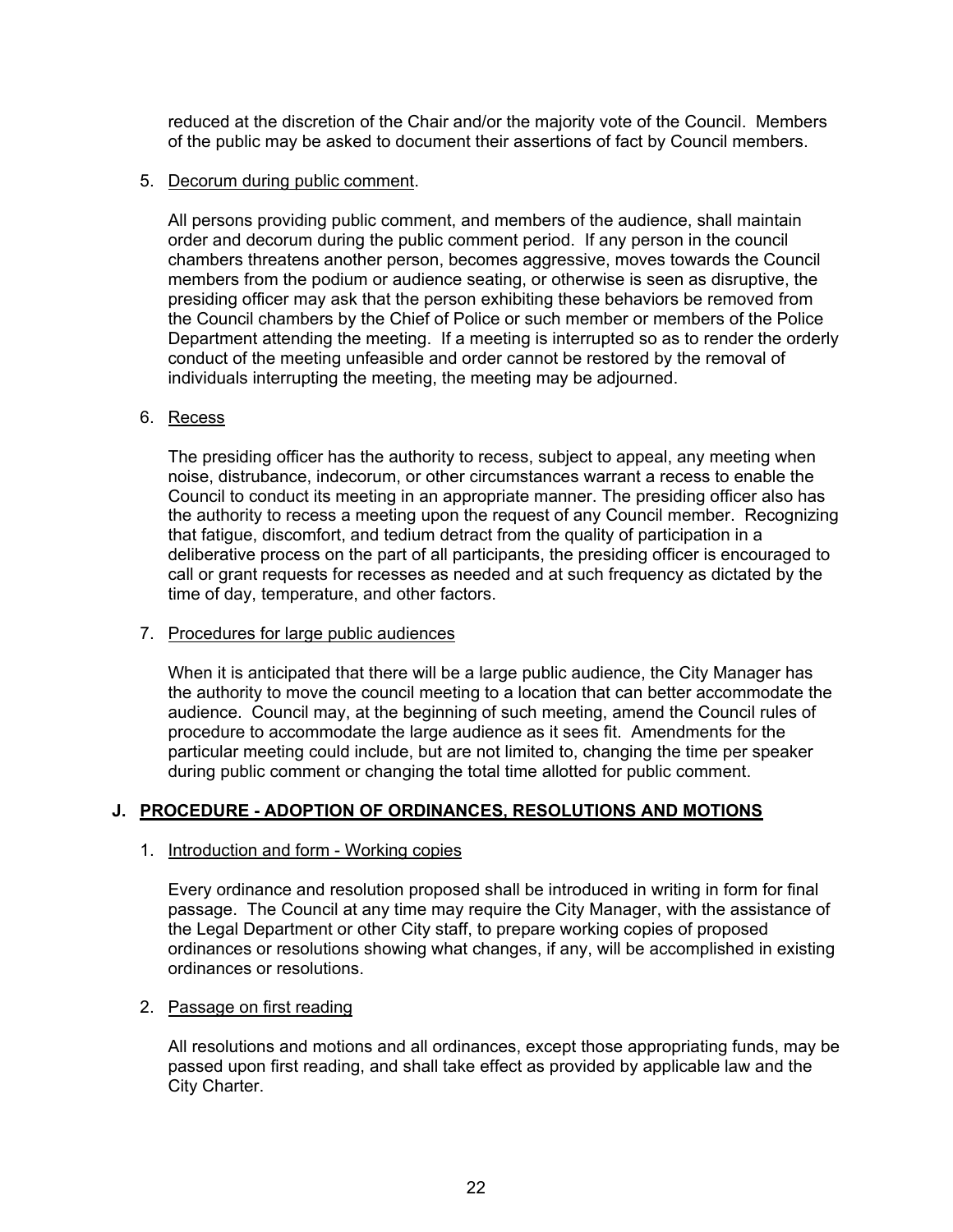reduced at the discretion of the Chair and/or the majority vote of the Council. Members of the public may be asked to document their assertions of fact by Council members.

## 5. Decorum during public comment.

All persons providing public comment, and members of the audience, shall maintain order and decorum during the public comment period. If any person in the council chambers threatens another person, becomes aggressive, moves towards the Council members from the podium or audience seating, or otherwise is seen as disruptive, the presiding officer may ask that the person exhibiting these behaviors be removed from the Council chambers by the Chief of Police or such member or members of the Police Department attending the meeting. If a meeting is interrupted so as to render the orderly conduct of the meeting unfeasible and order cannot be restored by the removal of individuals interrupting the meeting, the meeting may be adjourned.

## 6. Recess

The presiding officer has the authority to recess, subject to appeal, any meeting when noise, distrubance, indecorum, or other circumstances warrant a recess to enable the Council to conduct its meeting in an appropriate manner. The presiding officer also has the authority to recess a meeting upon the request of any Council member. Recognizing that fatigue, discomfort, and tedium detract from the quality of participation in a deliberative process on the part of all participants, the presiding officer is encouraged to call or grant requests for recesses as needed and at such frequency as dictated by the time of day, temperature, and other factors.

## 7. Procedures for large public audiences

When it is anticipated that there will be a large public audience, the City Manager has the authority to move the council meeting to a location that can better accommodate the audience. Council may, at the beginning of such meeting, amend the Council rules of procedure to accommodate the large audience as it sees fit. Amendments for the particular meeting could include, but are not limited to, changing the time per speaker during public comment or changing the total time allotted for public comment.

## **J. PROCEDURE - ADOPTION OF ORDINANCES, RESOLUTIONS AND MOTIONS**

## 1. Introduction and form - Working copies

 Every ordinance and resolution proposed shall be introduced in writing in form for final passage. The Council at any time may require the City Manager, with the assistance of the Legal Department or other City staff, to prepare working copies of proposed ordinances or resolutions showing what changes, if any, will be accomplished in existing ordinances or resolutions.

#### 2. Passage on first reading

 All resolutions and motions and all ordinances, except those appropriating funds, may be passed upon first reading, and shall take effect as provided by applicable law and the City Charter.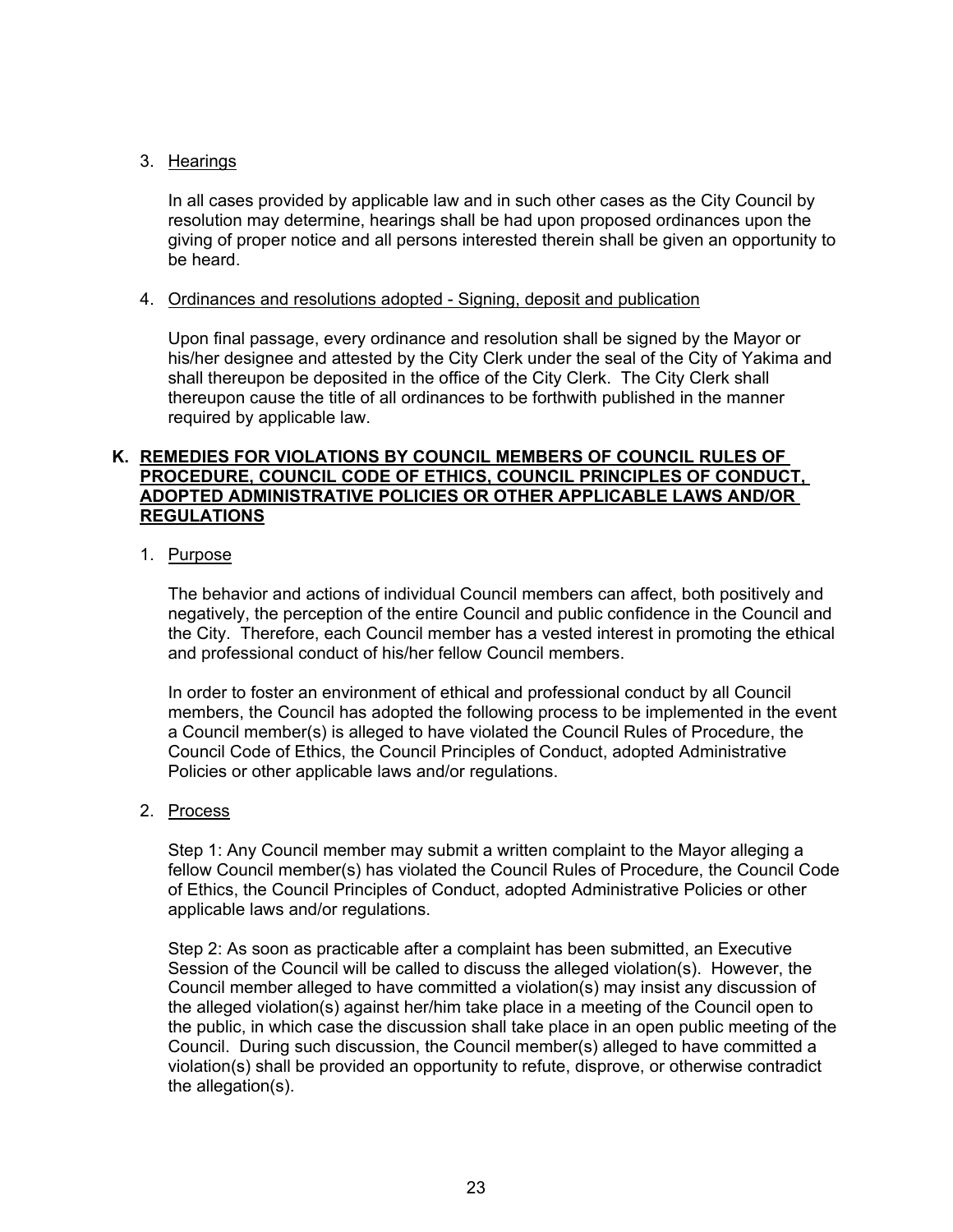## 3. Hearings

 In all cases provided by applicable law and in such other cases as the City Council by resolution may determine, hearings shall be had upon proposed ordinances upon the giving of proper notice and all persons interested therein shall be given an opportunity to be heard.

## 4. Ordinances and resolutions adopted - Signing, deposit and publication

 Upon final passage, every ordinance and resolution shall be signed by the Mayor or his/her designee and attested by the City Clerk under the seal of the City of Yakima and shall thereupon be deposited in the office of the City Clerk. The City Clerk shall thereupon cause the title of all ordinances to be forthwith published in the manner required by applicable law.

## **K. REMEDIES FOR VIOLATIONS BY COUNCIL MEMBERS OF COUNCIL RULES OF PROCEDURE, COUNCIL CODE OF ETHICS, COUNCIL PRINCIPLES OF CONDUCT, ADOPTED ADMINISTRATIVE POLICIES OR OTHER APPLICABLE LAWS AND/OR REGULATIONS**

## 1. Purpose

The behavior and actions of individual Council members can affect, both positively and negatively, the perception of the entire Council and public confidence in the Council and the City. Therefore, each Council member has a vested interest in promoting the ethical and professional conduct of his/her fellow Council members.

In order to foster an environment of ethical and professional conduct by all Council members, the Council has adopted the following process to be implemented in the event a Council member(s) is alleged to have violated the Council Rules of Procedure, the Council Code of Ethics, the Council Principles of Conduct, adopted Administrative Policies or other applicable laws and/or regulations.

#### 2. Process

Step 1: Any Council member may submit a written complaint to the Mayor alleging a fellow Council member(s) has violated the Council Rules of Procedure, the Council Code of Ethics, the Council Principles of Conduct, adopted Administrative Policies or other applicable laws and/or regulations.

Step 2: As soon as practicable after a complaint has been submitted, an Executive Session of the Council will be called to discuss the alleged violation(s). However, the Council member alleged to have committed a violation(s) may insist any discussion of the alleged violation(s) against her/him take place in a meeting of the Council open to the public, in which case the discussion shall take place in an open public meeting of the Council. During such discussion, the Council member(s) alleged to have committed a violation(s) shall be provided an opportunity to refute, disprove, or otherwise contradict the allegation(s).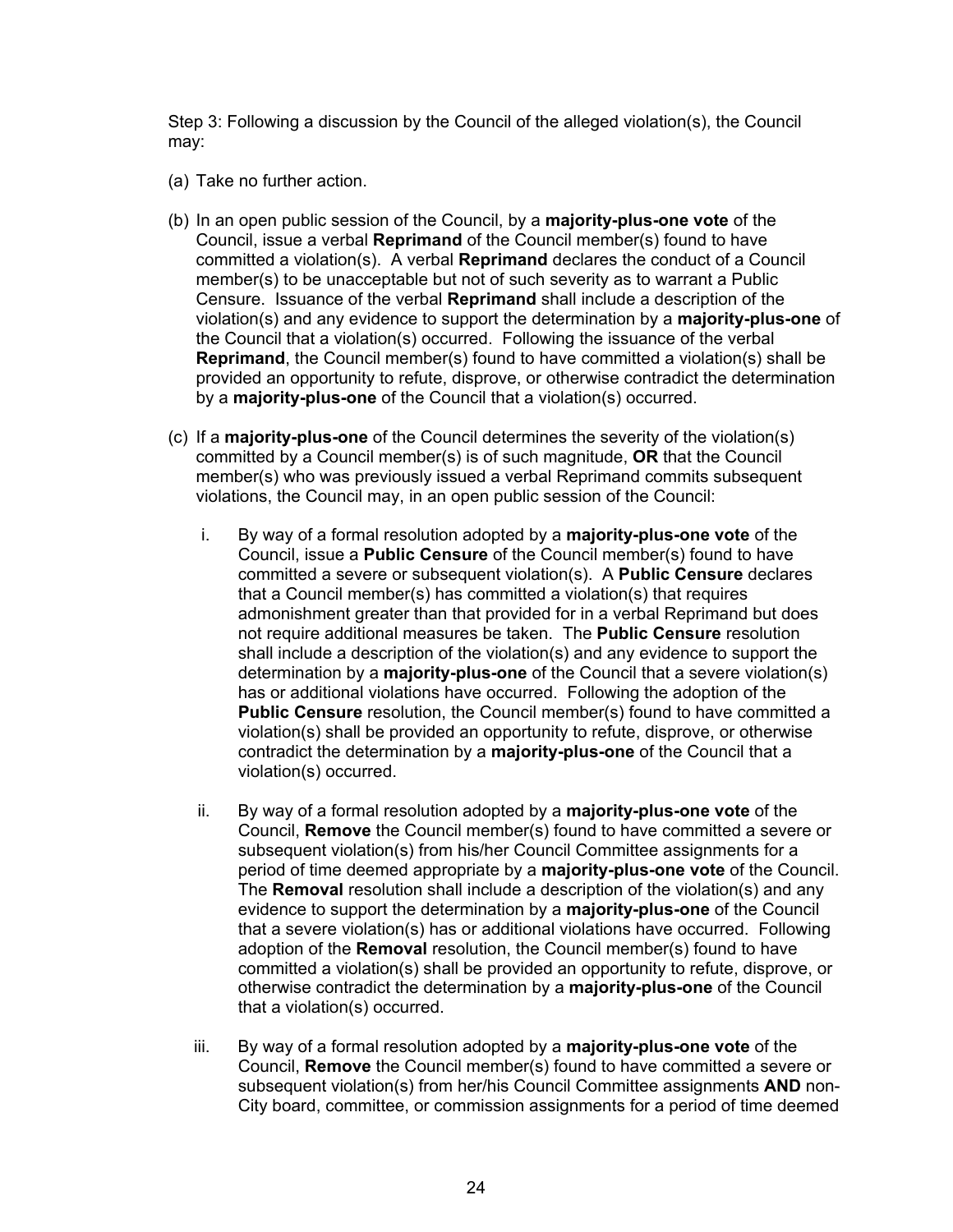Step 3: Following a discussion by the Council of the alleged violation(s), the Council may:

- (a) Take no further action.
- (b) In an open public session of the Council, by a **majority-plus-one vote** of the Council, issue a verbal **Reprimand** of the Council member(s) found to have committed a violation(s). A verbal **Reprimand** declares the conduct of a Council member(s) to be unacceptable but not of such severity as to warrant a Public Censure. Issuance of the verbal **Reprimand** shall include a description of the violation(s) and any evidence to support the determination by a **majority-plus-one** of the Council that a violation(s) occurred. Following the issuance of the verbal **Reprimand**, the Council member(s) found to have committed a violation(s) shall be provided an opportunity to refute, disprove, or otherwise contradict the determination by a **majority-plus-one** of the Council that a violation(s) occurred.
- (c) If a **majority-plus-one** of the Council determines the severity of the violation(s) committed by a Council member(s) is of such magnitude, **OR** that the Council member(s) who was previously issued a verbal Reprimand commits subsequent violations, the Council may, in an open public session of the Council:
	- i. By way of a formal resolution adopted by a **majority-plus-one vote** of the Council, issue a **Public Censure** of the Council member(s) found to have committed a severe or subsequent violation(s). A **Public Censure** declares that a Council member(s) has committed a violation(s) that requires admonishment greater than that provided for in a verbal Reprimand but does not require additional measures be taken. The **Public Censure** resolution shall include a description of the violation(s) and any evidence to support the determination by a **majority-plus-one** of the Council that a severe violation(s) has or additional violations have occurred. Following the adoption of the **Public Censure** resolution, the Council member(s) found to have committed a violation(s) shall be provided an opportunity to refute, disprove, or otherwise contradict the determination by a **majority-plus-one** of the Council that a violation(s) occurred.
	- ii. By way of a formal resolution adopted by a **majority-plus-one vote** of the Council, **Remove** the Council member(s) found to have committed a severe or subsequent violation(s) from his/her Council Committee assignments for a period of time deemed appropriate by a **majority-plus-one vote** of the Council. The **Removal** resolution shall include a description of the violation(s) and any evidence to support the determination by a **majority-plus-one** of the Council that a severe violation(s) has or additional violations have occurred. Following adoption of the **Removal** resolution, the Council member(s) found to have committed a violation(s) shall be provided an opportunity to refute, disprove, or otherwise contradict the determination by a **majority-plus-one** of the Council that a violation(s) occurred.
	- iii. By way of a formal resolution adopted by a **majority-plus-one vote** of the Council, **Remove** the Council member(s) found to have committed a severe or subsequent violation(s) from her/his Council Committee assignments **AND** non-City board, committee, or commission assignments for a period of time deemed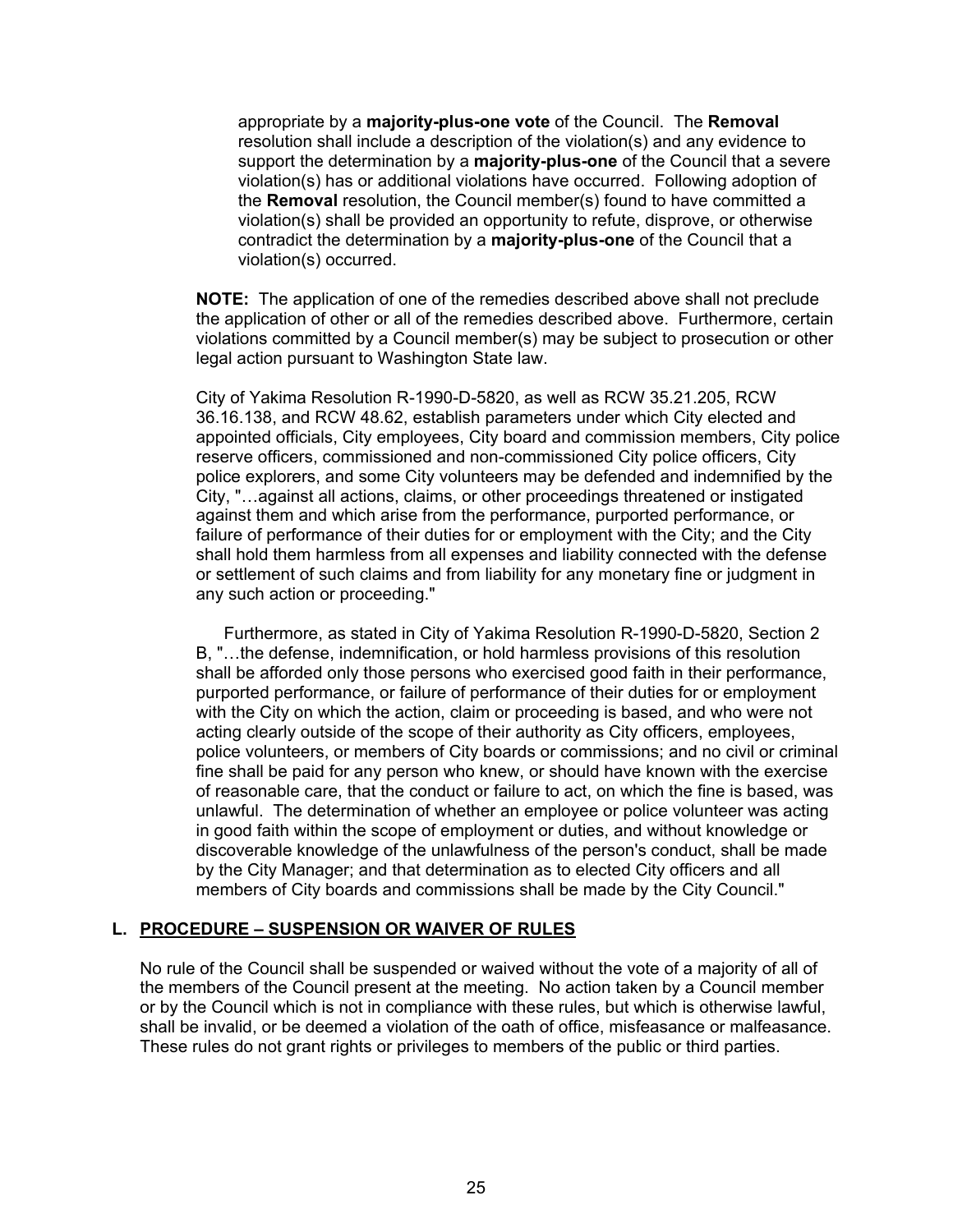appropriate by a **majority-plus-one vote** of the Council. The **Removal** resolution shall include a description of the violation(s) and any evidence to support the determination by a **majority-plus-one** of the Council that a severe violation(s) has or additional violations have occurred. Following adoption of the **Removal** resolution, the Council member(s) found to have committed a violation(s) shall be provided an opportunity to refute, disprove, or otherwise contradict the determination by a **majority-plus-one** of the Council that a violation(s) occurred.

**NOTE:** The application of one of the remedies described above shall not preclude the application of other or all of the remedies described above. Furthermore, certain violations committed by a Council member(s) may be subject to prosecution or other legal action pursuant to Washington State law.

City of Yakima Resolution R-1990-D-5820, as well as RCW 35.21.205, RCW 36.16.138, and RCW 48.62, establish parameters under which City elected and appointed officials, City employees, City board and commission members, City police reserve officers, commissioned and non-commissioned City police officers, City police explorers, and some City volunteers may be defended and indemnified by the City, "…against all actions, claims, or other proceedings threatened or instigated against them and which arise from the performance, purported performance, or failure of performance of their duties for or employment with the City; and the City shall hold them harmless from all expenses and liability connected with the defense or settlement of such claims and from liability for any monetary fine or judgment in any such action or proceeding."

 Furthermore, as stated in City of Yakima Resolution R-1990-D-5820, Section 2 B, "…the defense, indemnification, or hold harmless provisions of this resolution shall be afforded only those persons who exercised good faith in their performance, purported performance, or failure of performance of their duties for or employment with the City on which the action, claim or proceeding is based, and who were not acting clearly outside of the scope of their authority as City officers, employees, police volunteers, or members of City boards or commissions; and no civil or criminal fine shall be paid for any person who knew, or should have known with the exercise of reasonable care, that the conduct or failure to act, on which the fine is based, was unlawful. The determination of whether an employee or police volunteer was acting in good faith within the scope of employment or duties, and without knowledge or discoverable knowledge of the unlawfulness of the person's conduct, shall be made by the City Manager; and that determination as to elected City officers and all members of City boards and commissions shall be made by the City Council."

#### **L. PROCEDURE – SUSPENSION OR WAIVER OF RULES**

 No rule of the Council shall be suspended or waived without the vote of a majority of all of the members of the Council present at the meeting. No action taken by a Council member or by the Council which is not in compliance with these rules, but which is otherwise lawful, shall be invalid, or be deemed a violation of the oath of office, misfeasance or malfeasance. These rules do not grant rights or privileges to members of the public or third parties.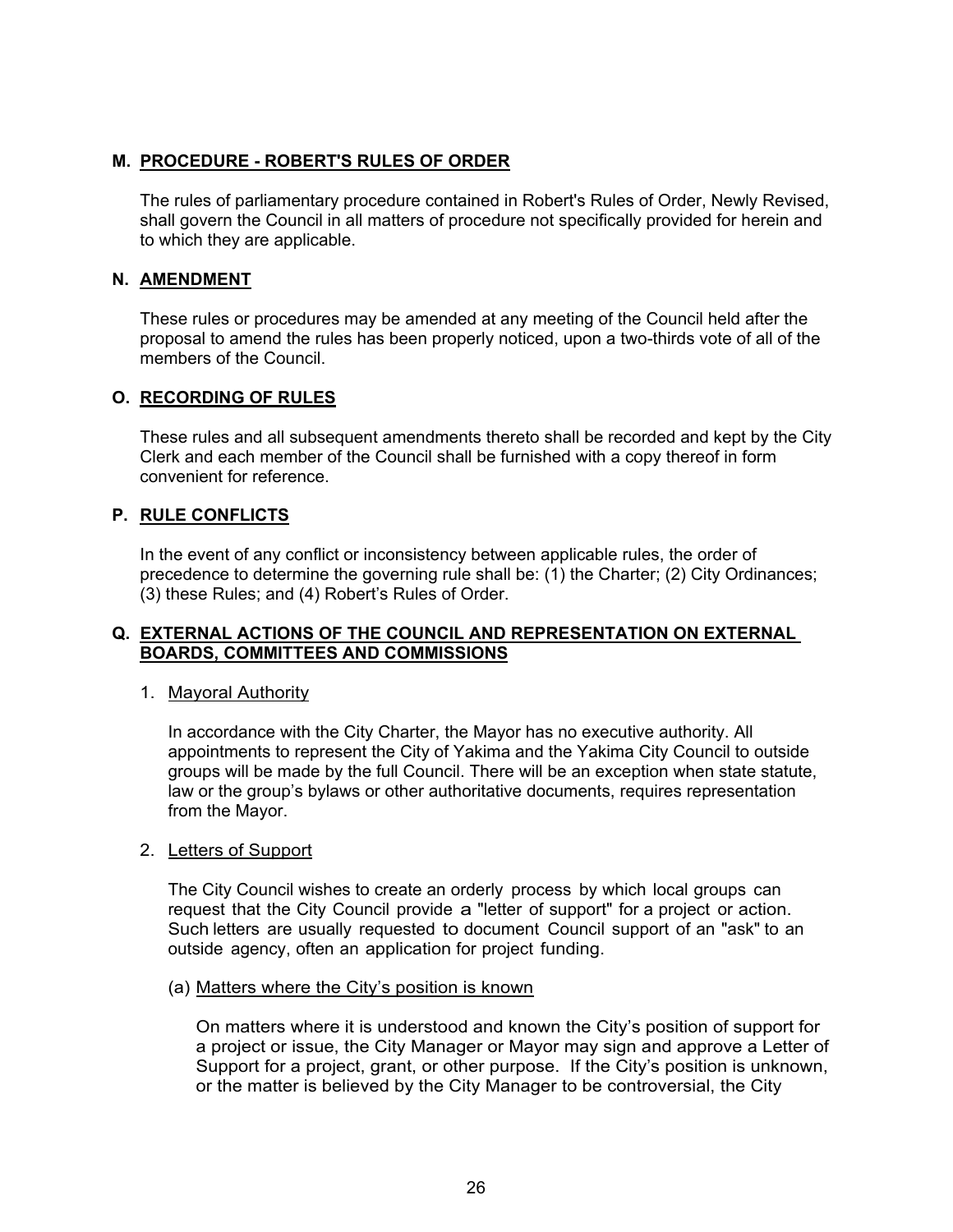## **M. PROCEDURE - ROBERT'S RULES OF ORDER**

 The rules of parliamentary procedure contained in Robert's Rules of Order, Newly Revised, shall govern the Council in all matters of procedure not specifically provided for herein and to which they are applicable.

## **N. AMENDMENT**

These rules or procedures may be amended at any meeting of the Council held after the proposal to amend the rules has been properly noticed, upon a two-thirds vote of all of the members of the Council.

## **O. RECORDING OF RULES**

These rules and all subsequent amendments thereto shall be recorded and kept by the City Clerk and each member of the Council shall be furnished with a copy thereof in form convenient for reference.

## **P. RULE CONFLICTS**

In the event of any conflict or inconsistency between applicable rules, the order of precedence to determine the governing rule shall be: (1) the Charter; (2) City Ordinances; (3) these Rules; and (4) Robert's Rules of Order.

## **Q. EXTERNAL ACTIONS OF THE COUNCIL AND REPRESENTATION ON EXTERNAL BOARDS, COMMITTEES AND COMMISSIONS**

#### 1. Mayoral Authority

In accordance with the City Charter, the Mayor has no executive authority. All appointments to represent the City of Yakima and the Yakima City Council to outside groups will be made by the full Council. There will be an exception when state statute, law or the group's bylaws or other authoritative documents, requires representation from the Mayor.

#### 2. Letters of Support

The City Council wishes to create an orderly process by which local groups can request that the City Council provide a "letter of support" for a project or action. Such letters are usually requested to document Council support of an "ask" to an outside agency, often an application for project funding.

#### (a) Matters where the City's position is known

On matters where it is understood and known the City's position of support for a project or issue, the City Manager or Mayor may sign and approve a Letter of Support for a project, grant, or other purpose. If the City's position is unknown, or the matter is believed by the City Manager to be controversial, the City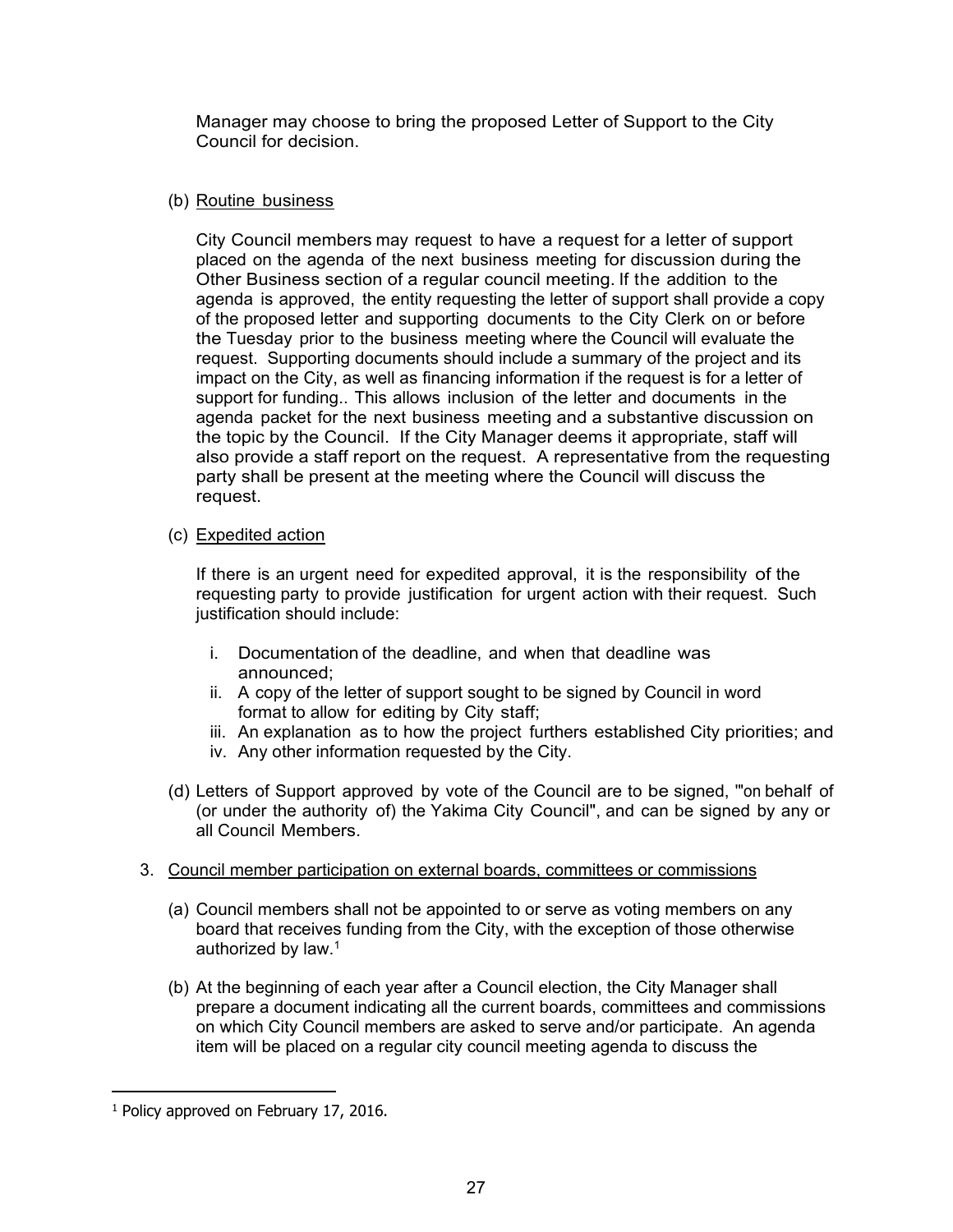Manager may choose to bring the proposed Letter of Support to the City Council for decision.

## (b) Routine business

City Council members may request to have a request for a letter of support placed on the agenda of the next business meeting for discussion during the Other Business section of a regular council meeting. If the addition to the agenda is approved, the entity requesting the letter of support shall provide a copy of the proposed letter and supporting documents to the City Clerk on or before the Tuesday prior to the business meeting where the Council will evaluate the request. Supporting documents should include a summary of the project and its impact on the City, as well as financing information if the request is for a letter of support for funding.. This allows inclusion of the letter and documents in the agenda packet for the next business meeting and a substantive discussion on the topic by the Council. If the City Manager deems it appropriate, staff will also provide a staff report on the request. A representative from the requesting party shall be present at the meeting where the Council will discuss the request.

## (c) Expedited action

If there is an urgent need for expedited approval, it is the responsibility of the requesting party to provide justification for urgent action with their request. Such justification should include:

- i. Documentation of the deadline, and when that deadline was announced;
- ii. A copy of the letter of support sought to be signed by Council in word format to allow for editing by City staff;
- iii. An explanation as to how the project furthers established City priorities; and
- iv. Any other information requested by the City.
- (d) Letters of Support approved by vote of the Council are to be signed, '"on behalf of (or under the authority of) the Yakima City Council", and can be signed by any or all Council Members.

## 3. Council member participation on external boards, committees or commissions

- (a) Council members shall not be appointed to or serve as voting members on any board that receives funding from the City, with the exception of those otherwise authorized by law.1
- (b) At the beginning of each year after a Council election, the City Manager shall prepare a document indicating all the current boards, committees and commissions on which City Council members are asked to serve and/or participate. An agenda item will be placed on a regular city council meeting agenda to discuss the

 $\overline{a}$ 

<sup>&</sup>lt;sup>1</sup> Policy approved on February 17, 2016.